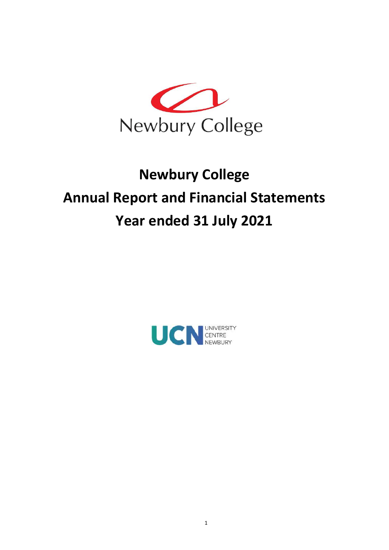

# Explorery College<br>
Newbury College<br>
Newbury College<br>
ort and Financial Statements<br>
r ended 31 July 2021 Annual Report and Financial Statements Year ended 31 July 2021

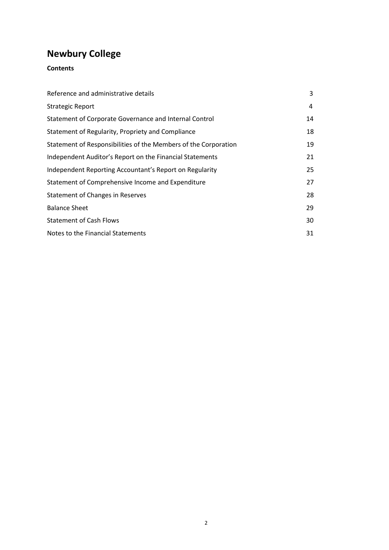# **Contents**

| <b>Newbury College</b>                                          |    |
|-----------------------------------------------------------------|----|
| <b>Contents</b>                                                 |    |
|                                                                 |    |
| Reference and administrative details                            | 3  |
| <b>Strategic Report</b>                                         | 4  |
| Statement of Corporate Governance and Internal Control          | 14 |
| Statement of Regularity, Propriety and Compliance               | 18 |
| Statement of Responsibilities of the Members of the Corporation | 19 |
| Independent Auditor's Report on the Financial Statements        | 21 |
| Independent Reporting Accountant's Report on Regularity         | 25 |
| Statement of Comprehensive Income and Expenditure               | 27 |
| <b>Statement of Changes in Reserves</b>                         | 28 |
| <b>Balance Sheet</b>                                            | 29 |
| <b>Statement of Cash Flows</b>                                  | 30 |
| Notes to the Financial Statements                               | 31 |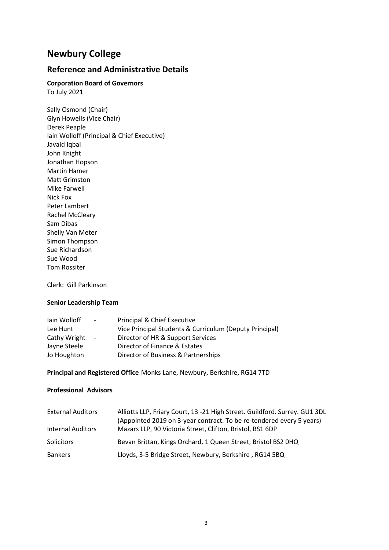# Reference and Administrative Details

# Corporation Board of Governors

To July 2021

Sally Osmond (Chair) Glyn Howells (Vice Chair) Derek Peaple Iain Wolloff (Principal & Chief Executive) Javaid Iqbal John Knight Jonathan Hopson Martin Hamer Matt Grimston Mike Farwell Nick Fox Peter Lambert Rachel McCleary Sam Dibas Shelly Van Meter Simon Thompson Sue Richardson Sue Wood Tom Rossiter

Clerk: Gill Parkinson

#### Senior Leadership Team

| lain Wolloff | $\sim 100$               | Principal & Chief Executive                             |
|--------------|--------------------------|---------------------------------------------------------|
| Lee Hunt     |                          | Vice Principal Students & Curriculum (Deputy Principal) |
| Cathy Wright | $\overline{\phantom{a}}$ | Director of HR & Support Services                       |
| Jayne Steele |                          | Director of Finance & Estates                           |
| Jo Houghton  |                          | Director of Business & Partnerships                     |

Principal and Registered Office Monks Lane, Newbury, Berkshire, RG14 7TD

#### Professional Advisors

| <b>External Auditors</b> | Alliotts LLP, Friary Court, 13 -21 High Street. Guildford. Surrey. GU1 3DL<br>(Appointed 2019 on 3-year contract. To be re-tendered every 5 years) |
|--------------------------|----------------------------------------------------------------------------------------------------------------------------------------------------|
| <b>Internal Auditors</b> | Mazars LLP, 90 Victoria Street, Clifton, Bristol, BS1 6DP                                                                                          |
| <b>Solicitors</b>        | Bevan Brittan, Kings Orchard, 1 Queen Street, Bristol BS2 0HQ                                                                                      |
| <b>Bankers</b>           | Lloyds, 3-5 Bridge Street, Newbury, Berkshire, RG14 5BQ                                                                                            |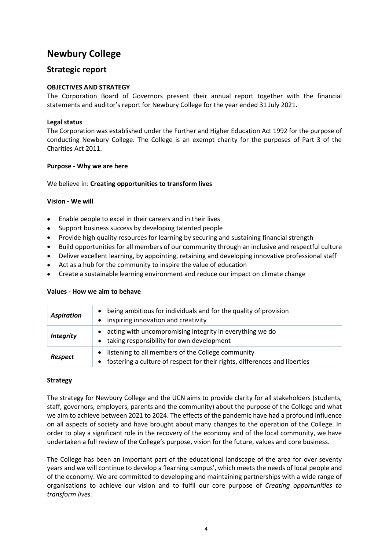## Strategic report

## OBJECTIVES AND STRATEGY

The Corporation Board of Governors present their annual report together with the financial statements and auditor's report for Newbury College for the year ended 31 July 2021.

#### Legal status

The Corporation was established under the Further and Higher Education Act 1992 for the purpose of conducting Newbury College. The College is an exempt charity for the purposes of Part 3 of the Charities Act 2011.

#### Purpose - Why we are here

#### We believe in: Creating opportunities to transform lives

#### Vision - We will

- Enable people to excel in their careers and in their lives
- Support business success by developing talented people
- Provide high quality resources for learning by securing and sustaining financial strength
- Build opportunities for all members of our community through an inclusive and respectful culture
- Deliver excellent learning, by appointing, retaining and developing innovative professional staff
- Act as a hub for the community to inspire the value of education
- Create a sustainable learning environment and reduce our impact on climate change

| <b>Aspiration</b> | being ambitious for individuals and for the quality of provision<br>inspiring innovation and creativity                         |
|-------------------|---------------------------------------------------------------------------------------------------------------------------------|
| <b>Integrity</b>  | acting with uncompromising integrity in everything we do<br>taking responsibility for own development                           |
| Respect           | listening to all members of the College community<br>fostering a culture of respect for their rights, differences and liberties |

#### Values - How we aim to behave

#### Strategy

The strategy for Newbury College and the UCN aims to provide clarity for all stakeholders (students, staff, governors, employers, parents and the community) about the purpose of the College and what we aim to achieve between 2021 to 2024. The effects of the pandemic have had a profound influence on all aspects of society and have brought about many changes to the operation of the College. In order to play a significant role in the recovery of the economy and of the local community, we have undertaken a full review of the College's purpose, vision for the future, values and core business.

The College has been an important part of the educational landscape of the area for over seventy years and we will continue to develop a 'learning campus', which meets the needs of local people and of the economy. We are committed to developing and maintaining partnerships with a wide range of organisations to achieve our vision and to fulfil our core purpose of Creating opportunities to transform lives.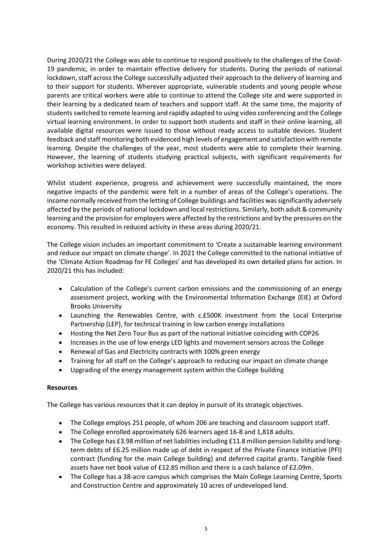During 2020/21 the College was able to continue to respond positively to the challenges of the Covid-19 pandemic, in order to maintain effective delivery for students. During the periods of national lockdown, staff across the College successfully adjusted their approach to the delivery of learning and to their support for students. Wherever appropriate, vulnerable students and young people whose parents are critical workers were able to continue to attend the College site and were supported in their learning by a dedicated team of teachers and support staff. At the same time, the majority of students switched to remote learning and rapidly adapted to using video conferencing and the College virtual learning environment. In order to support both students and staff in their online learning, all available digital resources were issued to those without ready access to suitable devices. Student feedback and staff monitoring both evidenced high levels of engagement and satisfaction with remote learning. Despite the challenges of the year, most students were able to complete their learning. However, the learning of students studying practical subjects, with significant requirements for workshop activities were delayed.

Whilst student experience, progress and achievement were successfully maintained, the more negative impacts of the pandemic were felt in a number of areas of the College's operations. The income normally received from the letting of College buildings and facilities was significantly adversely affected by the periods of national lockdown and local restrictions. Similarly, both adult & community learning and the provision for employers were affected by the restrictions and by the pressures on the economy. This resulted in reduced activity in these areas during 2020/21.

The College vision includes an important commitment to 'Create a sustainable learning environment and reduce our impact on climate change'. In 2021 the College committed to the national initiative of the 'Climate Action Roadmap for FE Colleges' and has developed its own detailed plans for action. In 2020/21 this has included:

- Calculation of the College's current carbon emissions and the commissioning of an energy assessment project, working with the Environmental Information Exchange (EIE) at Oxford Brooks University
- Launching the Renewables Centre, with c.£500K investment from the Local Enterprise  $\bullet$ Partnership (LEP), for technical training in low carbon energy installations
- Hosting the Net Zero Tour Bus as part of the national initiative coinciding with COP26  $\bullet$
- Increases in the use of low energy LED lights and movement sensors across the College  $\bullet$
- Renewal of Gas and Electricity contracts with 100% green energy
- Training for all staff on the College's approach to reducing our impact on climate change
- Upgrading of the energy management system within the College building

#### Resources

The College has various resources that it can deploy in pursuit of its strategic objectives.

- The College employs 251 people, of whom 206 are teaching and classroom support staff.
- The College enrolled approximately 626 learners aged 16-8 and 1,818 adults.
- The College has £3.98 million of net liabilities including £11.8 million pension liability and longterm debts of £6.25 million made up of debt in respect of the Private Finance Initiative (PFI) contract (funding for the main College building) and deferred capital grants. Tangible fixed assets have net book value of £12.85 million and there is a cash balance of £2.09m.
- The College has a 38-acre campus which comprises the Main College Learning Centre, Sports and Construction Centre and approximately 10 acres of undeveloped land.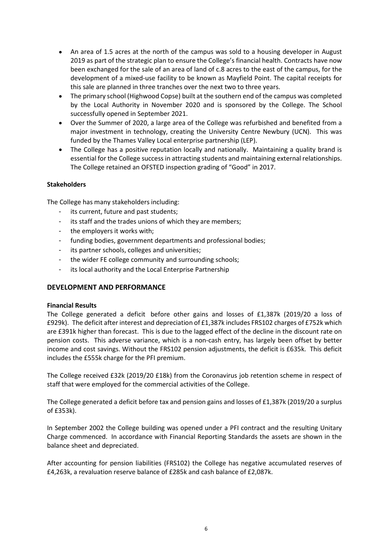- An area of 1.5 acres at the north of the campus was sold to a housing developer in August 2019 as part of the strategic plan to ensure the College's financial health. Contracts have now been exchanged for the sale of an area of land of c.8 acres to the east of the campus, for the development of a mixed-use facility to be known as Mayfield Point. The capital receipts for this sale are planned in three tranches over the next two to three years.
- The primary school (Highwood Copse) built at the southern end of the campus was completed  $\bullet$ by the Local Authority in November 2020 and is sponsored by the College. The School successfully opened in September 2021.
- Over the Summer of 2020, a large area of the College was refurbished and benefited from a  $\bullet$ major investment in technology, creating the University Centre Newbury (UCN). This was funded by the Thames Valley Local enterprise partnership (LEP).
- The College has a positive reputation locally and nationally. Maintaining a quality brand is essential for the College success in attracting students and maintaining external relationships. The College retained an OFSTED inspection grading of "Good" in 2017.

#### **Stakeholders**

The College has many stakeholders including:

- its current, future and past students;
- its staff and the trades unions of which they are members;
- the employers it works with;
- funding bodies, government departments and professional bodies;
- its partner schools, colleges and universities;
- the wider FE college community and surrounding schools;
- its local authority and the Local Enterprise Partnership

#### DEVELOPMENT AND PERFORMANCE

#### Financial Results

The College generated a deficit before other gains and losses of £1,387k (2019/20 a loss of £929k). The deficit after interest and depreciation of £1,387k includes FRS102 charges of £752k which are £391k higher than forecast. This is due to the lagged effect of the decline in the discount rate on pension costs. This adverse variance, which is a non-cash entry, has largely been offset by better income and cost savings. Without the FRS102 pension adjustments, the deficit is £635k. This deficit includes the £555k charge for the PFI premium.

The College received £32k (2019/20 £18k) from the Coronavirus job retention scheme in respect of staff that were employed for the commercial activities of the College.

The College generated a deficit before tax and pension gains and losses of £1,387k (2019/20 a surplus of £353k).

In September 2002 the College building was opened under a PFI contract and the resulting Unitary Charge commenced. In accordance with Financial Reporting Standards the assets are shown in the balance sheet and depreciated.

After accounting for pension liabilities (FRS102) the College has negative accumulated reserves of £4,263k, a revaluation reserve balance of £285k and cash balance of £2,087k.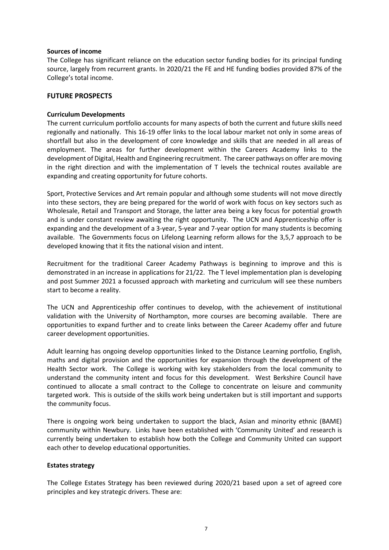#### Sources of income

The College has significant reliance on the education sector funding bodies for its principal funding source, largely from recurrent grants. In 2020/21 the FE and HE funding bodies provided 87% of the College's total income.

#### FUTURE PROSPECTS

#### Curriculum Developments

The current curriculum portfolio accounts for many aspects of both the current and future skills need regionally and nationally. This 16-19 offer links to the local labour market not only in some areas of shortfall but also in the development of core knowledge and skills that are needed in all areas of employment. The areas for further development within the Careers Academy links to the development of Digital, Health and Engineering recruitment. The career pathways on offer are moving in the right direction and with the implementation of T levels the technical routes available are expanding and creating opportunity for future cohorts.

Sport, Protective Services and Art remain popular and although some students will not move directly into these sectors, they are being prepared for the world of work with focus on key sectors such as Wholesale, Retail and Transport and Storage, the latter area being a key focus for potential growth and is under constant review awaiting the right opportunity. The UCN and Apprenticeship offer is expanding and the development of a 3-year, 5-year and 7-year option for many students is becoming available. The Governments focus on Lifelong Learning reform allows for the 3,5,7 approach to be developed knowing that it fits the national vision and intent.

Recruitment for the traditional Career Academy Pathways is beginning to improve and this is demonstrated in an increase in applications for 21/22. The T level implementation plan is developing and post Summer 2021 a focussed approach with marketing and curriculum will see these numbers start to become a reality.

The UCN and Apprenticeship offer continues to develop, with the achievement of institutional validation with the University of Northampton, more courses are becoming available. There are opportunities to expand further and to create links between the Career Academy offer and future career development opportunities.

Adult learning has ongoing develop opportunities linked to the Distance Learning portfolio, English, maths and digital provision and the opportunities for expansion through the development of the Health Sector work. The College is working with key stakeholders from the local community to understand the community intent and focus for this development. West Berkshire Council have continued to allocate a small contract to the College to concentrate on leisure and community targeted work. This is outside of the skills work being undertaken but is still important and supports the community focus.

There is ongoing work being undertaken to support the black, Asian and minority ethnic (BAME) community within Newbury. Links have been established with 'Community United' and research is currently being undertaken to establish how both the College and Community United can support each other to develop educational opportunities.

#### Estates strategy

The College Estates Strategy has been reviewed during 2020/21 based upon a set of agreed core principles and key strategic drivers. These are: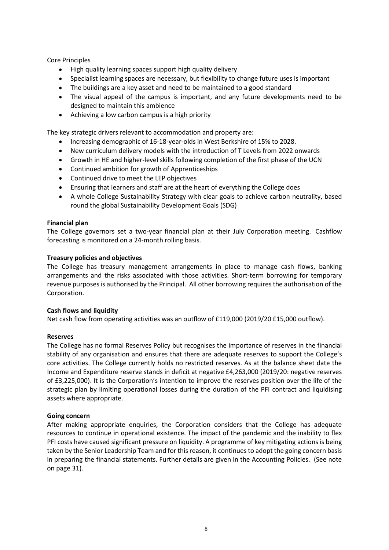Core Principles

- High quality learning spaces support high quality delivery  $\bullet$
- 
- The buildings are a key asset and need to be maintained to a good standard
- nciples<br>High quality learning spaces support high quality delivery<br>Specialist learning spaces are necessary, but flexibility to change future uses is important<br>The buildings are a key asset and need to be maintained to a g The visual appeal of the campus is important, and any future developments need to be designed to maintain this ambience
- Achieving a low carbon campus is a high priority

The key strategic drivers relevant to accommodation and property are:

- Increasing demographic of 16-18-year-olds in West Berkshire of 15% to 2028.  $\bullet$
- New curriculum delivery models with the introduction of T Levels from 2022 onwards  $\bullet$
- Growth in HE and higher-level skills following completion of the first phase of the UCN
- Continued ambition for growth of Apprenticeships
- Continued drive to meet the LEP objectives
- Ensuring that learners and staff are at the heart of everything the College does  $\bullet$
- A whole College Sustainability Strategy with clear goals to achieve carbon neutrality, based round the global Sustainability Development Goals (SDG)

#### Financial plan

The College governors set a two-year financial plan at their July Corporation meeting. Cashflow forecasting is monitored on a 24-month rolling basis.

#### Treasury policies and objectives

The College has treasury management arrangements in place to manage cash flows, banking arrangements and the risks associated with those activities. Short-term borrowing for temporary revenue purposes is authorised by the Principal. All other borrowing requires the authorisation of the Corporation.

#### Cash flows and liquidity

Net cash flow from operating activities was an outflow of £119,000 (2019/20 £15,000 outflow).

#### Reserves

The College has no formal Reserves Policy but recognises the importance of reserves in the financial stability of any organisation and ensures that there are adequate reserves to support the College's core activities. The College currently holds no restricted reserves. As at the balance sheet date the Income and Expenditure reserve stands in deficit at negative £4,263,000 (2019/20: negative reserves of £3,225,000). It is the Corporation's intention to improve the reserves position over the life of the strategic plan by limiting operational losses during the duration of the PFI contract and liquidising assets where appropriate.

#### Going concern

After making appropriate enquiries, the Corporation considers that the College has adequate resources to continue in operational existence. The impact of the pandemic and the inability to flex PFI costs have caused significant pressure on liquidity. A programme of key mitigating actions is being taken by the Senior Leadership Team and for this reason, it continues to adopt the going concern basis in preparing the financial statements. Further details are given in the Accounting Policies. (See note on page 31).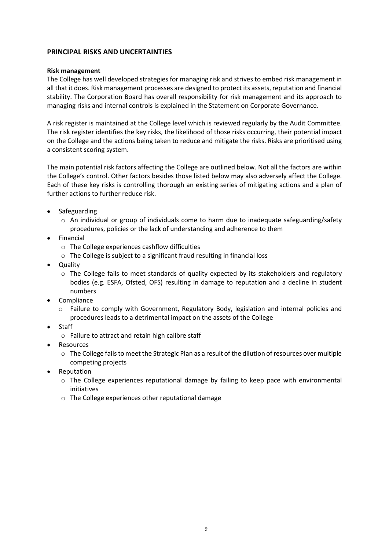#### PRINCIPAL RISKS AND UNCERTAINTIES

#### Risk management

The College has well developed strategies for managing risk and strives to embed risk management in all that it does. Risk management processes are designed to protect its assets, reputation and financial stability. The Corporation Board has overall responsibility for risk management and its approach to managing risks and internal controls is explained in the Statement on Corporate Governance.

A risk register is maintained at the College level which is reviewed regularly by the Audit Committee. The risk register identifies the key risks, the likelihood of those risks occurring, their potential impact on the College and the actions being taken to reduce and mitigate the risks. Risks are prioritised using a consistent scoring system.

The main potential risk factors affecting the College are outlined below. Not all the factors are within the College's control. Other factors besides those listed below may also adversely affect the College. Each of these key risks is controlling thorough an existing series of mitigating actions and a plan of further actions to further reduce risk.

- Safeguarding
	- $\circ$  An individual or group of individuals come to harm due to inadequate safeguarding/safety procedures, policies or the lack of understanding and adherence to them
- Financial
	- o The College experiences cashflow difficulties
	- o The College is subject to a significant fraud resulting in financial loss
- Quality
	- $\circ$  The College fails to meet standards of quality expected by its stakeholders and regulatory bodies (e.g. ESFA, Ofsted, OFS) resulting in damage to reputation and a decline in student numbers
- Compliance
	- o Failure to comply with Government, Regulatory Body, legislation and internal policies and procedures leads to a detrimental impact on the assets of the College
- Staff
	- o Failure to attract and retain high calibre staff
- Resources
	- o The College fails to meet the Strategic Plan as a result of the dilution of resources over multiple competing projects
- Reputation
	- $\circ$  The College experiences reputational damage by failing to keep pace with environmental initiatives
	- o The College experiences other reputational damage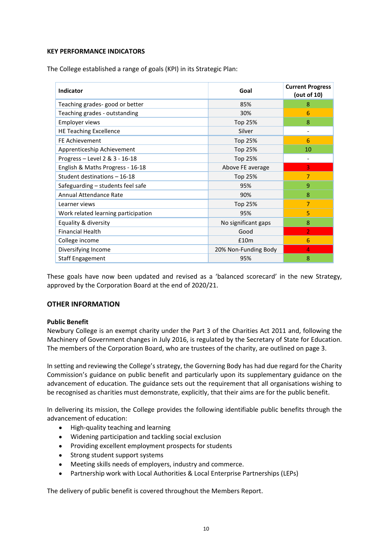#### KEY PERFORMANCE INDICATORS

| Y PERFORMANCE INDICATORS                                            |                             |                           |
|---------------------------------------------------------------------|-----------------------------|---------------------------|
|                                                                     |                             |                           |
| e College established a range of goals (KPI) in its Strategic Plan: |                             |                           |
|                                                                     |                             |                           |
|                                                                     |                             | <b>Current Progress</b>   |
| Indicator                                                           | Goal                        | (out of $10$ )            |
| Teaching grades-good or better                                      | 85%                         | $\bf 8$                   |
| Teaching grades - outstanding                                       | 30%                         | $6\phantom{a}$            |
| Employer views                                                      | Top 25%                     | 8                         |
| <b>HE Teaching Excellence</b>                                       | Silver                      | $\Box$                    |
| FE Achievement                                                      | Top 25%                     | $6\phantom{1}$            |
| Apprenticeship Achievement                                          | Top 25%                     | 10                        |
| Progress - Level 2 & 3 - 16-18                                      | Top 25%                     | $\mathbb{L}$              |
| English & Maths Progress - 16-18                                    | Above FE average            | $\overline{3}$            |
| Student destinations - 16-18                                        | Top 25%                     | $\overline{7}$            |
| Safeguarding - students feel safe                                   | 95%                         | $\boldsymbol{9}$          |
| Annual Attendance Rate                                              | 90%                         | $\boldsymbol{8}$          |
| Learner views                                                       | Top 25%                     | $\overline{7}$            |
| Work related learning participation                                 | 95%                         | 5                         |
| Equality & diversity                                                | No significant gaps         | $\boldsymbol{8}$          |
| <b>Financial Health</b>                                             |                             |                           |
|                                                                     | Good                        | $\overline{2}$            |
|                                                                     |                             |                           |
| College income                                                      | £10m                        | $6\phantom{1}$            |
| Diversifying Income<br><b>Staff Engagement</b>                      | 20% Non-Funding Body<br>95% | $\overline{4}$<br>$\bf 8$ |

These goals have now been updated and revised as a 'balanced scorecard' in the new Strategy, approved by the Corporation Board at the end of 2020/21.

#### OTHER INFORMATION

#### Public Benefit

Newbury College is an exempt charity under the Part 3 of the Charities Act 2011 and, following the Machinery of Government changes in July 2016, is regulated by the Secretary of State for Education. The members of the Corporation Board, who are trustees of the charity, are outlined on page 3.

In setting and reviewing the College's strategy, the Governing Body has had due regard for the Charity Commission's guidance on public benefit and particularly upon its supplementary guidance on the advancement of education. The guidance sets out the requirement that all organisations wishing to be recognised as charities must demonstrate, explicitly, that their aims are for the public benefit.

In delivering its mission, the College provides the following identifiable public benefits through the advancement of education:

- High-quality teaching and learning  $\bullet$
- Widening participation and tackling social exclusion
- Providing excellent employment prospects for students
- Strong student support systems
- Meeting skills needs of employers, industry and commerce.
- $\bullet$ Partnership work with Local Authorities & Local Enterprise Partnerships (LEPs)

The delivery of public benefit is covered throughout the Members Report.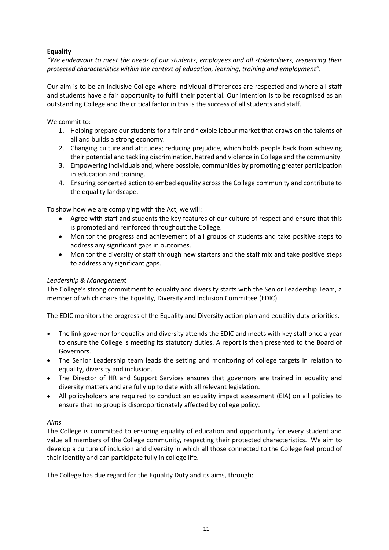## Equality

"We endeavour to meet the needs of our students, employees and all stakeholders, respecting their protected characteristics within the context of education, learning, training and employment".

Our aim is to be an inclusive College where individual differences are respected and where all staff and students have a fair opportunity to fulfil their potential. Our intention is to be recognised as an outstanding College and the critical factor in this is the success of all students and staff.

We commit to:

- 1. Helping prepare our students for a fair and flexible labour market that draws on the talents of all and builds a strong economy.
- 2. Changing culture and attitudes; reducing prejudice, which holds people back from achieving their potential and tackling discrimination, hatred and violence in College and the community.
- 3. Empowering individuals and, where possible, communities by promoting greater participation in education and training.
- 4. Ensuring concerted action to embed equality across the College community and contribute to the equality landscape.

To show how we are complying with the Act, we will:

- Agree with staff and students the key features of our culture of respect and ensure that this is promoted and reinforced throughout the College.
- Monitor the progress and achievement of all groups of students and take positive steps to address any significant gaps in outcomes.
- Monitor the diversity of staff through new starters and the staff mix and take positive steps to address any significant gaps.

#### Leadership & Management

The College's strong commitment to equality and diversity starts with the Senior Leadership Team, a member of which chairs the Equality, Diversity and Inclusion Committee (EDIC).

The EDIC monitors the progress of the Equality and Diversity action plan and equality duty priorities.

- The link governor for equality and diversity attends the EDIC and meets with key staff once a year to ensure the College is meeting its statutory duties. A report is then presented to the Board of Governors.
- The Senior Leadership team leads the setting and monitoring of college targets in relation to equality, diversity and inclusion.
- The Director of HR and Support Services ensures that governors are trained in equality and diversity matters and are fully up to date with all relevant legislation.
- All policyholders are required to conduct an equality impact assessment (EIA) on all policies to ensure that no group is disproportionately affected by college policy.

#### Aims

The College is committed to ensuring equality of education and opportunity for every student and value all members of the College community, respecting their protected characteristics. We aim to develop a culture of inclusion and diversity in which all those connected to the College feel proud of their identity and can participate fully in college life.

The College has due regard for the Equality Duty and its aims, through: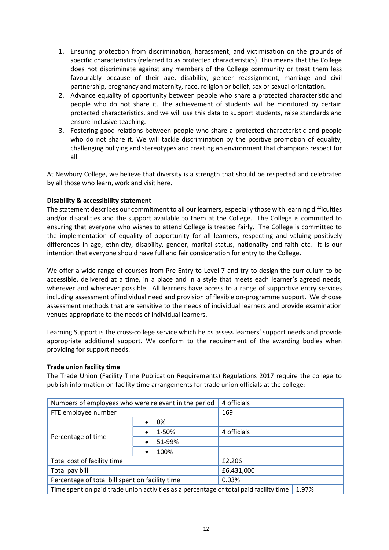- 1. Ensuring protection from discrimination, harassment, and victimisation on the grounds of specific characteristics (referred to as protected characteristics). This means that the College does not discriminate against any specific characteristics (referred to as protected characteristics). This means that the College does not discriminate against any members of the College community or treat them less favourably because of their age, disability, gender reassignment, marriage and civil partnership, pregnancy and maternity, race, religion or belief, sex or sexual orientation.
- 2. Advance equality of opportunity between people who share a protected characteristic and people who do not share it. The achievement of students will be monitored by certain protected characteristics, and we will use this data to support students, raise standards and ensure inclusive teaching.
- 3. Fostering good relations between people who share a protected characteristic and people who do not share it. We will tackle discrimination by the positive promotion of equality, challenging bullying and stereotypes and creating an environment that champions respect for all.

At Newbury College, we believe that diversity is a strength that should be respected and celebrated by all those who learn, work and visit here.

#### Disability & accessibility statement

The statement describes our commitment to all our learners, especially those with learning difficulties and/or disabilities and the support available to them at the College. The College is committed to ensuring that everyone who wishes to attend College is treated fairly. The College is committed to the implementation of equality of opportunity for all learners, respecting and valuing positively differences in age, ethnicity, disability, gender, marital status, nationality and faith etc. It is our intention that everyone should have full and fair consideration for entry to the College.

#### Trade union facility time

| intention that everyone should have full and fair consideration for entry to the College. |                                                                                       | differences in age, ethnicity, disability, gender, marital status, nationality and faith etc. It is our                                                                                                                                                                                                                                                                                                                                                                                                               |  |
|-------------------------------------------------------------------------------------------|---------------------------------------------------------------------------------------|-----------------------------------------------------------------------------------------------------------------------------------------------------------------------------------------------------------------------------------------------------------------------------------------------------------------------------------------------------------------------------------------------------------------------------------------------------------------------------------------------------------------------|--|
| venues appropriate to the needs of individual learners.                                   |                                                                                       | We offer a wide range of courses from Pre-Entry to Level 7 and try to design the curriculum to be<br>accessible, delivered at a time, in a place and in a style that meets each learner's agreed needs,<br>wherever and whenever possible. All learners have access to a range of supportive entry services<br>including assessment of individual need and provision of flexible on-programme support. We choose<br>assessment methods that are sensitive to the needs of individual learners and provide examination |  |
| providing for support needs.                                                              |                                                                                       | Learning Support is the cross-college service which helps assess learners' support needs and provide<br>appropriate additional support. We conform to the requirement of the awarding bodies when                                                                                                                                                                                                                                                                                                                     |  |
| <b>Trade union facility time</b>                                                          |                                                                                       | The Trade Union (Facility Time Publication Requirements) Regulations 2017 require the college to                                                                                                                                                                                                                                                                                                                                                                                                                      |  |
|                                                                                           |                                                                                       | publish information on facility time arrangements for trade union officials at the college:                                                                                                                                                                                                                                                                                                                                                                                                                           |  |
| Numbers of employees who were relevant in the period                                      |                                                                                       | 4 officials                                                                                                                                                                                                                                                                                                                                                                                                                                                                                                           |  |
| FTE employee number                                                                       |                                                                                       | 169                                                                                                                                                                                                                                                                                                                                                                                                                                                                                                                   |  |
|                                                                                           | 0%                                                                                    |                                                                                                                                                                                                                                                                                                                                                                                                                                                                                                                       |  |
|                                                                                           | 1-50%                                                                                 | 4 officials                                                                                                                                                                                                                                                                                                                                                                                                                                                                                                           |  |
| Percentage of time                                                                        | 51-99%                                                                                |                                                                                                                                                                                                                                                                                                                                                                                                                                                                                                                       |  |
|                                                                                           | 100%                                                                                  |                                                                                                                                                                                                                                                                                                                                                                                                                                                                                                                       |  |
| Total cost of facility time                                                               |                                                                                       | £2,206                                                                                                                                                                                                                                                                                                                                                                                                                                                                                                                |  |
| Total pay bill                                                                            |                                                                                       | £6,431,000                                                                                                                                                                                                                                                                                                                                                                                                                                                                                                            |  |
| Percentage of total bill spent on facility time                                           |                                                                                       | 0.03%                                                                                                                                                                                                                                                                                                                                                                                                                                                                                                                 |  |
|                                                                                           | Time spent on paid trade union activities as a percentage of total paid facility time | 1.97%                                                                                                                                                                                                                                                                                                                                                                                                                                                                                                                 |  |
|                                                                                           | 12                                                                                    |                                                                                                                                                                                                                                                                                                                                                                                                                                                                                                                       |  |
|                                                                                           |                                                                                       |                                                                                                                                                                                                                                                                                                                                                                                                                                                                                                                       |  |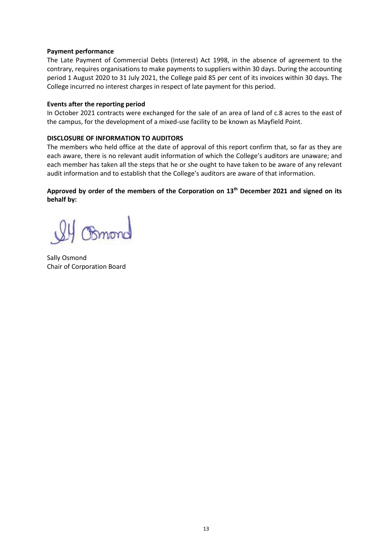#### Payment performance

The Late Payment of Commercial Debts (Interest) Act 1998, in the absence of agreement to the contrary, requires organisations to make payments to suppliers within 30 days. During the accounting period 1 August 2020 to 31 July 2021, the College paid 85 per cent of its invoices within 30 days. The College incurred no interest charges in respect of late payment for this period.

#### Events after the reporting period

In October 2021 contracts were exchanged for the sale of an area of land of c.8 acres to the east of the campus, for the development of a mixed-use facility to be known as Mayfield Point.

#### DISCLOSURE OF INFORMATION TO AUDITORS

The members who held office at the date of approval of this report confirm that, so far as they are each aware, there is no relevant audit information of which the College's auditors are unaware; and each member has taken all the steps that he or she ought to have taken to be aware of any relevant audit information and to establish that the College's auditors are aware of that information.

#### Approved by order of the members of the Corporation on 13<sup>th</sup> December 2021 and signed on its behalf by:

Bmong

Sally Osmond Chair of Corporation Board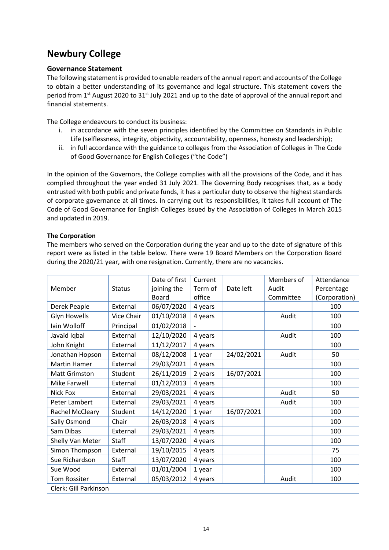#### Governance Statement

The following statement is provided to enable readers of the annual report and accounts of the College to obtain a better understanding of its governance and legal structure. This statement covers the **Newbury College**<br> **Governance Statement**<br>
The following statement is provided to enable readers of the annual report and accounts of the College<br>
to obtain a better understanding of its governance and legal structure. Thi financial statements.

The College endeavours to conduct its business:

- i. in accordance with the seven principles identified by the Committee on Standards in Public Life (selflessness, integrity, objectivity, accountability, openness, honesty and leadership);
- ii. in full accordance with the guidance to colleges from the Association of Colleges in The Code of Good Governance for English Colleges ("the Code")

#### The Corporation

| ii. in full accordance with the guidance to colleges from the Association of Colleges in The Code                                                                                                                                                                                                                                                                                                                                                                                                                                                          |                      | of Good Governance for English Colleges ("the Code") |                    |            |                     |                          |
|------------------------------------------------------------------------------------------------------------------------------------------------------------------------------------------------------------------------------------------------------------------------------------------------------------------------------------------------------------------------------------------------------------------------------------------------------------------------------------------------------------------------------------------------------------|----------------------|------------------------------------------------------|--------------------|------------|---------------------|--------------------------|
| In the opinion of the Governors, the College complies with all the provisions of the Code, and it has<br>complied throughout the year ended 31 July 2021. The Governing Body recognises that, as a body<br>entrusted with both public and private funds, it has a particular duty to observe the highest standards<br>of corporate governance at all times. In carrying out its responsibilities, it takes full account of The<br>Code of Good Governance for English Colleges issued by the Association of Colleges in March 2015<br>and updated in 2019. |                      |                                                      |                    |            |                     |                          |
| <b>The Corporation</b><br>The members who served on the Corporation during the year and up to the date of signature of this<br>report were as listed in the table below. There were 19 Board Members on the Corporation Board<br>during the 2020/21 year, with one resignation. Currently, there are no vacancies.                                                                                                                                                                                                                                         |                      |                                                      |                    |            |                     |                          |
| Member                                                                                                                                                                                                                                                                                                                                                                                                                                                                                                                                                     | <b>Status</b>        | Date of first<br>joining the                         | Current<br>Term of | Date left  | Members of<br>Audit | Attendance<br>Percentage |
|                                                                                                                                                                                                                                                                                                                                                                                                                                                                                                                                                            |                      | Board                                                | office             |            | Committee           | (Corporation)            |
| Derek Peaple                                                                                                                                                                                                                                                                                                                                                                                                                                                                                                                                               | External             | 06/07/2020                                           | 4 years            |            |                     | 100                      |
| <b>Glyn Howells</b>                                                                                                                                                                                                                                                                                                                                                                                                                                                                                                                                        | Vice Chair           | 01/10/2018                                           | 4 years            |            | Audit               | 100                      |
| lain Wolloff                                                                                                                                                                                                                                                                                                                                                                                                                                                                                                                                               | Principal            | 01/02/2018                                           |                    |            |                     | 100<br>100               |
| Javaid Iqbal                                                                                                                                                                                                                                                                                                                                                                                                                                                                                                                                               | External<br>External | 12/10/2020                                           | 4 years            |            | Audit               | 100                      |
| John Knight                                                                                                                                                                                                                                                                                                                                                                                                                                                                                                                                                |                      | 11/12/2017                                           | 4 years            |            |                     |                          |
| Jonathan Hopson<br><b>Martin Hamer</b>                                                                                                                                                                                                                                                                                                                                                                                                                                                                                                                     | External<br>External | 08/12/2008<br>29/03/2021                             | 1 year             | 24/02/2021 | Audit               | 50<br>100                |
| <b>Matt Grimston</b>                                                                                                                                                                                                                                                                                                                                                                                                                                                                                                                                       | Student              | 26/11/2019                                           | 4 years            | 16/07/2021 |                     | 100                      |
| <b>Mike Farwell</b>                                                                                                                                                                                                                                                                                                                                                                                                                                                                                                                                        | External             | 01/12/2013                                           | 2 years<br>4 years |            |                     | 100                      |
| Nick Fox                                                                                                                                                                                                                                                                                                                                                                                                                                                                                                                                                   | External             | 29/03/2021                                           | 4 years            |            | Audit               | 50                       |
| Peter Lambert                                                                                                                                                                                                                                                                                                                                                                                                                                                                                                                                              | External             | 29/03/2021                                           | 4 years            |            | Audit               | 100                      |
| Rachel McCleary                                                                                                                                                                                                                                                                                                                                                                                                                                                                                                                                            | Student              | 14/12/2020                                           |                    | 16/07/2021 |                     | 100                      |
|                                                                                                                                                                                                                                                                                                                                                                                                                                                                                                                                                            | Chair                | 26/03/2018                                           | 1 year             |            |                     | 100                      |
| Sally Osmond<br>Sam Dibas                                                                                                                                                                                                                                                                                                                                                                                                                                                                                                                                  |                      | 29/03/2021                                           | 4 years            |            |                     | 100                      |
|                                                                                                                                                                                                                                                                                                                                                                                                                                                                                                                                                            | External<br>Staff    |                                                      | 4 years            |            |                     |                          |
| Shelly Van Meter<br>Simon Thompson                                                                                                                                                                                                                                                                                                                                                                                                                                                                                                                         |                      | 13/07/2020                                           | 4 years            |            |                     | 100<br>75                |
| Sue Richardson                                                                                                                                                                                                                                                                                                                                                                                                                                                                                                                                             | External<br>Staff    | 19/10/2015                                           | 4 years            |            |                     |                          |
|                                                                                                                                                                                                                                                                                                                                                                                                                                                                                                                                                            |                      | 13/07/2020                                           | 4 years            |            |                     | 100                      |
| Sue Wood                                                                                                                                                                                                                                                                                                                                                                                                                                                                                                                                                   | External             | 01/01/2004                                           | 1 year             |            |                     | 100                      |
|                                                                                                                                                                                                                                                                                                                                                                                                                                                                                                                                                            | External             | 05/03/2012                                           | 4 years            |            | Audit               | 100                      |
| Tom Rossiter<br>Clerk: Gill Parkinson                                                                                                                                                                                                                                                                                                                                                                                                                                                                                                                      |                      |                                                      |                    |            |                     |                          |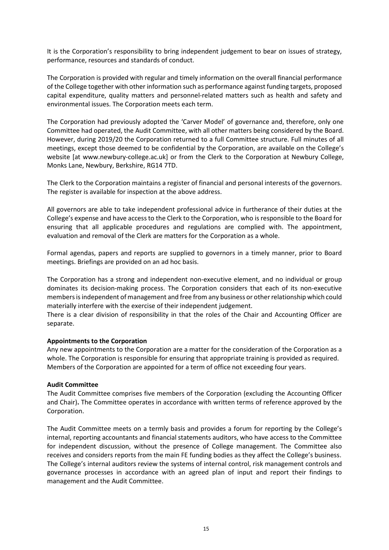It is the Corporation's responsibility to bring independent judgement to bear on issues of strategy, performance, resources and standards of conduct.

The Corporation is provided with regular and timely information on the overall financial performance of the College together with other information such as performance against funding targets, proposed capital expenditure, quality matters and personnel-related matters such as health and safety and environmental issues. The Corporation meets each term.

The Corporation had previously adopted the 'Carver Model' of governance and, therefore, only one Committee had operated, the Audit Committee, with all other matters being considered by the Board. However, during 2019/20 the Corporation returned to a full Committee structure. Full minutes of all meetings, except those deemed to be confidential by the Corporation, are available on the College's website [at www.newbury-college.ac.uk] or from the Clerk to the Corporation at Newbury College, Monks Lane, Newbury, Berkshire, RG14 7TD.

The Clerk to the Corporation maintains a register of financial and personal interests of the governors. The register is available for inspection at the above address.

All governors are able to take independent professional advice in furtherance of their duties at the College's expense and have access to the Clerk to the Corporation, who is responsible to the Board for ensuring that all applicable procedures and regulations are complied with. The appointment, evaluation and removal of the Clerk are matters for the Corporation as a whole.

Formal agendas, papers and reports are supplied to governors in a timely manner, prior to Board meetings. Briefings are provided on an ad hoc basis.

The Corporation has a strong and independent non-executive element, and no individual or group dominates its decision-making process. The Corporation considers that each of its non-executive members is independent of management and free from any business or other relationship which could materially interfere with the exercise of their independent judgement.

There is a clear division of responsibility in that the roles of the Chair and Accounting Officer are separate.

#### Appointments to the Corporation

Any new appointments to the Corporation are a matter for the consideration of the Corporation as a whole. The Corporation is responsible for ensuring that appropriate training is provided as required. Members of the Corporation are appointed for a term of office not exceeding four years.

#### Audit Committee

The Audit Committee comprises five members of the Corporation (excluding the Accounting Officer and Chair). The Committee operates in accordance with written terms of reference approved by the Corporation.

The Audit Committee meets on a termly basis and provides a forum for reporting by the College's internal, reporting accountants and financial statements auditors, who have access to the Committee for independent discussion, without the presence of College management. The Committee also receives and considers reports from the main FE funding bodies as they affect the College's business. The College's internal auditors review the systems of internal control, risk management controls and governance processes in accordance with an agreed plan of input and report their findings to management and the Audit Committee.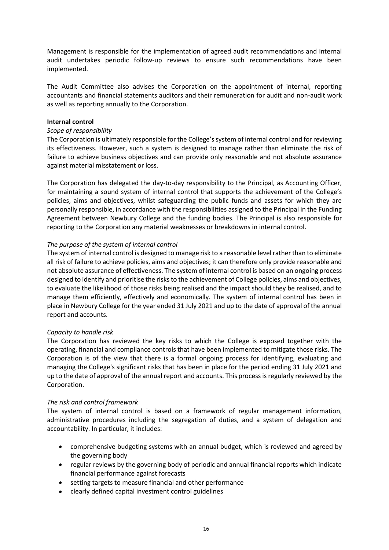Management is responsible for the implementation of agreed audit recommendations and internal audit undertakes periodic follow-up reviews to ensure such recommendations have been implemented.

The Audit Committee also advises the Corporation on the appointment of internal, reporting accountants and financial statements auditors and their remuneration for audit and non-audit work as well as reporting annually to the Corporation.

#### Internal control

#### Scope of responsibility

The Corporation is ultimately responsible for the College's system of internal control and for reviewing its effectiveness. However, such a system is designed to manage rather than eliminate the risk of failure to achieve business objectives and can provide only reasonable and not absolute assurance against material misstatement or loss.

The Corporation has delegated the day-to-day responsibility to the Principal, as Accounting Officer, for maintaining a sound system of internal control that supports the achievement of the College's policies, aims and objectives, whilst safeguarding the public funds and assets for which they are personally responsible, in accordance with the responsibilities assigned to the Principal in the Funding Agreement between Newbury College and the funding bodies. The Principal is also responsible for reporting to the Corporation any material weaknesses or breakdowns in internal control.

#### The purpose of the system of internal control

The system of internal control is designed to manage risk to a reasonable level rather than to eliminate all risk of failure to achieve policies, aims and objectives; it can therefore only provide reasonable and not absolute assurance of effectiveness. The system of internal control is based on an ongoing process designed to identify and prioritise the risks to the achievement of College policies, aims and objectives, to evaluate the likelihood of those risks being realised and the impact should they be realised, and to manage them efficiently, effectively and economically. The system of internal control has been in place in Newbury College for the year ended 31 July 2021 and up to the date of approval of the annual report and accounts.

#### Capacity to handle risk

The Corporation has reviewed the key risks to which the College is exposed together with the operating, financial and compliance controls that have been implemented to mitigate those risks. The Corporation is of the view that there is a formal ongoing process for identifying, evaluating and managing the College's significant risks that has been in place for the period ending 31 July 2021 and up to the date of approval of the annual report and accounts. This process is regularly reviewed by the Corporation.

#### The risk and control framework

The system of internal control is based on a framework of regular management information, administrative procedures including the segregation of duties, and a system of delegation and accountability. In particular, it includes:

- comprehensive budgeting systems with an annual budget, which is reviewed and agreed by the governing body
- regular reviews by the governing body of periodic and annual financial reports which indicate financial performance against forecasts
- setting targets to measure financial and other performance
- clearly defined capital investment control guidelines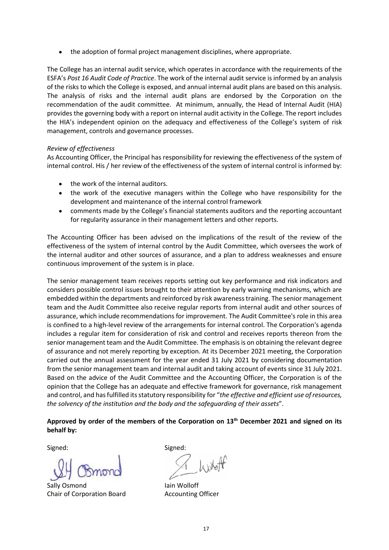the adoption of formal project management disciplines, where appropriate.

The College has an internal audit service, which operates in accordance with the requirements of the ESFA's Post 16 Audit Code of Practice. The work of the internal audit service is informed by an analysis of the risks to which the College is exposed, and annual internal audit plans are based on this analysis. The analysis of risks and the internal audit plans are endorsed by the Corporation on the recommendation of the audit committee. At minimum, annually, the Head of Internal Audit (HIA) provides the governing body with a report on internal audit activity in the College. The report includes the HIA's independent opinion on the adequacy and effectiveness of the College's system of risk management, controls and governance processes.

#### Review of effectiveness

As Accounting Officer, the Principal has responsibility for reviewing the effectiveness of the system of internal control. His / her review of the effectiveness of the system of internal control is informed by:

- the work of the internal auditors.
- the work of the executive managers within the College who have responsibility for the  $\bullet$ development and maintenance of the internal control framework
- comments made by the College's financial statements auditors and the reporting accountant  $\bullet$ for regularity assurance in their management letters and other reports.

The Accounting Officer has been advised on the implications of the result of the review of the effectiveness of the system of internal control by the Audit Committee, which oversees the work of the internal auditor and other sources of assurance, and a plan to address weaknesses and ensure continuous improvement of the system is in place.

The senior management team receives reports setting out key performance and risk indicators and considers possible control issues brought to their attention by early warning mechanisms, which are embedded within the departments and reinforced by risk awareness training. The senior management team and the Audit Committee also receive regular reports from internal audit and other sources of assurance, which include recommendations for improvement. The Audit Committee's role in this area is confined to a high-level review of the arrangements for internal control. The Corporation's agenda includes a regular item for consideration of risk and control and receives reports thereon from the senior management team and the Audit Committee. The emphasis is on obtaining the relevant degree of assurance and not merely reporting by exception. At its December 2021 meeting, the Corporation carried out the annual assessment for the year ended 31 July 2021 by considering documentation from the senior management team and internal audit and taking account of events since 31 July 2021. Based on the advice of the Audit Committee and the Accounting Officer, the Corporation is of the opinion that the College has an adequate and effective framework for governance, risk management and control, and has fulfilled its statutory responsibility for "the effective and efficient use of resources, the solvency of the institution and the body and the safeguarding of their assets".

Approved by order of the members of the Corporation on 13<sup>th</sup> December 2021 and signed on its behalf by:

Signed: Signed:

Sally Osmond Iain Wolloff Chair of Corporation Board **Accounting Officer**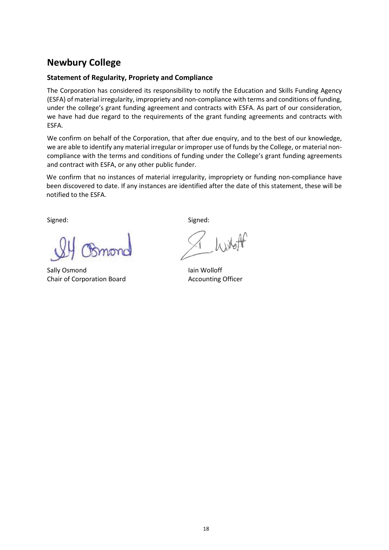## Statement of Regularity, Propriety and Compliance

**Newbury College**<br> **Statement of Regularity, Propriety and Compliance**<br>
The Corporation has considered its responsibility to notify the Education and Skills Fu<br>
(ESFA) of material irregularity, impropriety and non-complian The Corporation has considered its responsibility to notify the Education and Skills Funding Agency (ESFA) of material irregularity, impropriety and non-compliance with terms and conditions of funding, under the college's grant funding agreement and contracts with ESFA. As part of our consideration, we have had due regard to the requirements of the grant funding agreements and contracts with ESFA.

We confirm on behalf of the Corporation, that after due enquiry, and to the best of our knowledge, we are able to identify any material irregular or improper use of funds by the College, or material noncompliance with the terms and conditions of funding under the College's grant funding agreements and contract with ESFA, or any other public funder.

We confirm that no instances of material irregularity, impropriety or funding non-compliance have been discovered to date. If any instances are identified after the date of this statement, these will be notified to the ESFA.

Signed: Signed:

 Sally Osmond Iain Wolloff Chair of Corporation Board **Accounting Officer**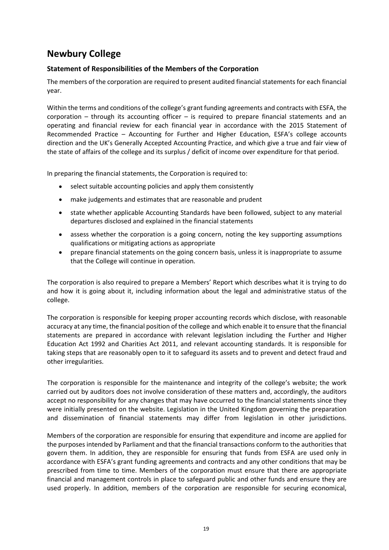## Statement of Responsibilities of the Members of the Corporation

**Newbury College**<br>Statement of Responsibilities of the Members of the Corporation<br>The members of the corporation are required to present audited financial statements fo<br>year. The members of the corporation are required to present audited financial statements for each financial year.

Within the terms and conditions of the college's grant funding agreements and contracts with ESFA, the corporation – through its accounting officer – is required to prepare financial statements and an operating and financial review for each financial year in accordance with the 2015 Statement of Recommended Practice – Accounting for Further and Higher Education, ESFA's college accounts direction and the UK's Generally Accepted Accounting Practice, and which give a true and fair view of the state of affairs of the college and its surplus / deficit of income over expenditure for that period.

In preparing the financial statements, the Corporation is required to:

- select suitable accounting policies and apply them consistently  $\bullet$
- $\bullet$ make judgements and estimates that are reasonable and prudent
- state whether applicable Accounting Standards have been followed, subject to any material  $\bullet$ departures disclosed and explained in the financial statements
- assess whether the corporation is a going concern, noting the key supporting assumptions  $\bullet$ qualifications or mitigating actions as appropriate
- $\bullet$ prepare financial statements on the going concern basis, unless it is inappropriate to assume that the College will continue in operation.

The corporation is also required to prepare a Members' Report which describes what it is trying to do and how it is going about it, including information about the legal and administrative status of the college.

The corporation is responsible for keeping proper accounting records which disclose, with reasonable accuracy at any time, the financial position of the college and which enable it to ensure that the financial statements are prepared in accordance with relevant legislation including the Further and Higher Education Act 1992 and Charities Act 2011, and relevant accounting standards. It is responsible for taking steps that are reasonably open to it to safeguard its assets and to prevent and detect fraud and other irregularities.

The corporation is responsible for the maintenance and integrity of the college's website; the work carried out by auditors does not involve consideration of these matters and, accordingly, the auditors accept no responsibility for any changes that may have occurred to the financial statements since they were initially presented on the website. Legislation in the United Kingdom governing the preparation and dissemination of financial statements may differ from legislation in other jurisdictions.

Members of the corporation are responsible for ensuring that expenditure and income are applied for the purposes intended by Parliament and that the financial transactions conform to the authorities that govern them. In addition, they are responsible for ensuring that funds from ESFA are used only in accordance with ESFA's grant funding agreements and contracts and any other conditions that may be prescribed from time to time. Members of the corporation must ensure that there are appropriate financial and management controls in place to safeguard public and other funds and ensure they are used properly. In addition, members of the corporation are responsible for securing economical,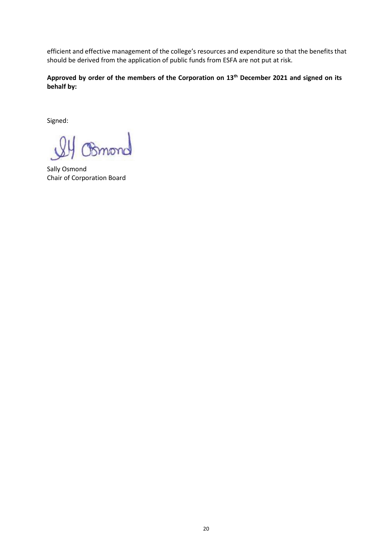efficient and effective management of the college's resources and expenditure so that the benefits that should be derived from the application of public funds from ESFA are not put at risk.

Approved by order of the members of the Corporation on 13<sup>th</sup> December 2021 and signed on its behalf by:

Signed:

Bmonc

Sally Osmond Chair of Corporation Board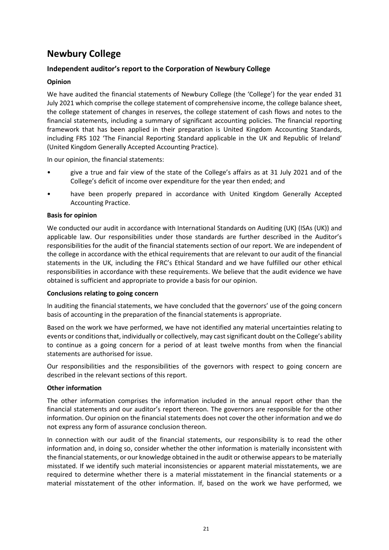#### Opinion

Newbury College<br>
Independent auditor's report to the Corporation of Newbury College<br>
Opinion<br>
We have audited the financial statements of Newbury College (the 'College') for the y<br>
Univ 2021 which comprise the college stat **Newbury College**<br> **Independent auditor's report to the Corporation of Newbury College**<br> **Opinion**<br>
We have audited the financial statements of Newbury College (the 'College') for the year ended 31<br>
July 2021 which compris We have audited the financial statements of Newbury College (the 'College') for the year ended 31 July 2021 which comprise the college statement of comprehensive income, the college balance sheet, the college statement of changes in reserves, the college statement of cash flows and notes to the financial statements, including a summary of significant accounting policies. The financial reporting framework that has been applied in their preparation is United Kingdom Accounting Standards, including FRS 102 'The Financial Reporting Standard applicable in the UK and Republic of Ireland' (United Kingdom Generally Accepted Accounting Practice).

- In our opinion, the financial statements:<br>
 give a true and fair view of the state of the College's affairs as at 31 July 2021 and of the College's deficit of income over expenditure for the year then ended; and
- have been properly prepared in accordance with United Kingdom Generally Accepted Accounting Practice.

#### Basis for opinion

We conducted our audit in accordance with International Standards on Auditing (UK) (ISAs (UK)) and applicable law. Our responsibilities under those standards are further described in the Auditor's responsibilities for the audit of the financial statements section of our report. We are independent of the college in accordance with the ethical requirements that are relevant to our audit of the financial statements in the UK, including the FRC's Ethical Standard and we have fulfilled our other ethical responsibilities in accordance with these requirements. We believe that the audit evidence we have obtained is sufficient and appropriate to provide a basis for our opinion.

#### Conclusions relating to going concern

In auditing the financial statements, we have concluded that the governors' use of the going concern basis of accounting in the preparation of the financial statements is appropriate.

Based on the work we have performed, we have not identified any material uncertainties relating to events or conditions that, individually or collectively, may cast significant doubt on the College's ability to continue as a going concern for a period of at least twelve months from when the financial statements are authorised for issue.

Our responsibilities and the responsibilities of the governors with respect to going concern are described in the relevant sections of this report.

#### Other information

The other information comprises the information included in the annual report other than the financial statements and our auditor's report thereon. The governors are responsible for the other information. Our opinion on the financial statements does not cover the other information and we do not express any form of assurance conclusion thereon.

In connection with our audit of the financial statements, our responsibility is to read the other information and, in doing so, consider whether the other information is materially inconsistent with the financial statements, or our knowledge obtained in the audit or otherwise appears to be materially misstated. If we identify such material inconsistencies or apparent material misstatements, we are required to determine whether there is a material misstatement in the financial statements or a material misstatement of the other information. If, based on the work we have performed, we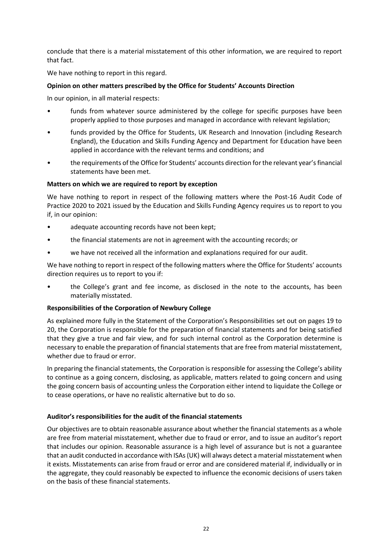conclude that there is a material misstatement of this other information, we are required to report that fact.

We have nothing to report in this regard.

#### Opinion on other matters prescribed by the Office for Students' Accounts Direction

- In our opinion, in all material respects:<br>• funds from whatever source administered by the college for specific purposes have been
- properly applied to those purposes and managed in accordance with relevant legislation;<br>funds provided by the Office for Students, UK Research and Innovation (including Research England), the Education and Skills Funding Agency and Department for Education have been
- applied in accordance with the relevant terms and conditions; and<br>
the requirements of the Office for Students' accounts direction for the relevant year's financial statements have been met.

#### Matters on which we are required to report by exception

We have nothing to report in respect of the following matters where the Post-16 Audit Code of Practice 2020 to 2021 issued by the Education and Skills Funding Agency requires us to report to you

- 
- if, in our opinion:<br>
 adequate accounting records have not been kept;<br>
 the financial statements are not in agreement with the accounting records; or<br>
 we have not received all the information and explanations required
- 

We have nothing to report in respect of the following matters where the Office for Students' accounts

direction requires us to report to you if:<br>• the College's grant and fee income, as disclosed in the note to the accounts, has been materially misstated.

#### Responsibilities of the Corporation of Newbury College

As explained more fully in the Statement of the Corporation's Responsibilities set out on pages 19 to 20, the Corporation is responsible for the preparation of financial statements and for being satisfied that they give a true and fair view, and for such internal control as the Corporation determine is necessary to enable the preparation of financial statements that are free from material misstatement, whether due to fraud or error.

In preparing the financial statements, the Corporation is responsible for assessing the College's ability to continue as a going concern, disclosing, as applicable, matters related to going concern and using the going concern basis of accounting unless the Corporation either intend to liquidate the College or to cease operations, or have no realistic alternative but to do so.

#### Auditor's responsibilities for the audit of the financial statements

Our objectives are to obtain reasonable assurance about whether the financial statements as a whole are free from material misstatement, whether due to fraud or error, and to issue an auditor's report that includes our opinion. Reasonable assurance is a high level of assurance but is not a guarantee that an audit conducted in accordance with ISAs (UK) will always detect a material misstatement when it exists. Misstatements can arise from fraud or error and are considered material if, individually or in the aggregate, they could reasonably be expected to influence the economic decisions of users taken on the basis of these financial statements.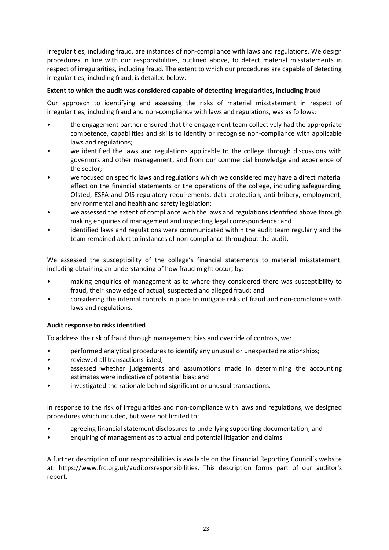Irregularities, including fraud, are instances of non-compliance with laws and regulations. We design procedures in line with our responsibilities, outlined above, to detect material misstatements in respect of irregularities, including fraud. The extent to which our procedures are capable of detecting irregularities, including fraud, is detailed below.

#### Extent to which the audit was considered capable of detecting irregularities, including fraud

Our approach to identifying and assessing the risks of material misstatement in respect of

- irregularities, including fraud and non-compliance with laws and regulations, was as follows:<br>• the engagement partner ensured that the engagement team collectively had the appropriate competence, capabilities and skills to identify or recognise non-compliance with applicable
- laws and regulations;<br>we identified the laws and regulations applicable to the college through discussions with governors and other management, and from our commercial knowledge and experience of
- the sector;<br>we focused on specific laws and regulations which we considered may have a direct material effect on the financial statements or the operations of the college, including safeguarding, Ofsted, ESFA and OfS regulatory requirements, data protection, anti-bribery, employment,
- environmental and health and safety legislation;<br>we assessed the extent of compliance with the laws and regulations identified above through
- making enquiries of management and inspecting legal correspondence; and<br>identified laws and regulations were communicated within the audit team regularly and the team remained alert to instances of non-compliance throughout the audit.

We assessed the susceptibility of the college's financial statements to material misstatement,

- including obtaining an understanding of how fraud might occur, by:<br>• making enquiries of management as to where they considered there was susceptibility to fraud, their knowledge of actual, suspected and alleged fraud; and<br>considering the internal controls in place to mitigate risks of fraud and non-compliance with
- laws and regulations.

#### Audit response to risks identified

- To address the risk of fraud through management bias and override of controls, we:<br>
 performed analytical procedures to identify any unusual or unexpected relationships;<br>
 eviewed all transactions listed;<br>
 assessed whe
- 
- 
- estimates were indicative of potential bias; and<br>• investigated the rationale behind significant or unusual transactions.

In response to the risk of irregularities and non-compliance with laws and regulations, we designed

- procedures which included, but were not limited to:<br>
 agreeing financial statement disclosures to underlying supporting documentation; and<br>
 enquiring of management as to actual and potential litigation and claims
- 

A further description of our responsibilities is available on the Financial Reporting Council's website at: https://www.frc.org.uk/auditorsresponsibilities. This description forms part of our auditor's report.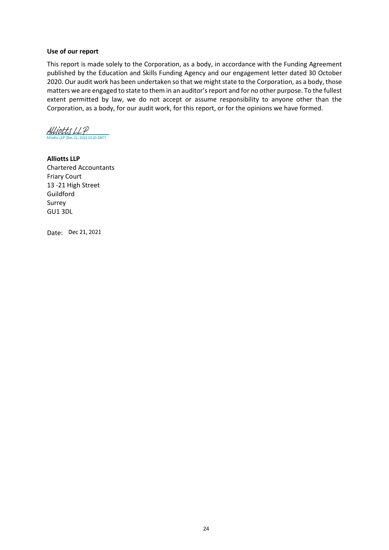#### Use of our report

This report is made solely to the Corporation, as a body, in accordance with the Funding Agreement published by the Education and Skills Funding Agency and our engagement letter dated 30 October 2020. Our audit work has been undertaken so that we might state to the Corporation, as a body, those matters we are engaged to state to them in an auditor's report and for no other purpose. To the fullest extent permitted by law, we do not accept or assume responsibility to anyone other than the Corporation, as a body, for our audit work, for this report, or for the opinions we have formed.

Alliotts LLP 21, 2021 10:25 GMT)

Alliotts LLP Chartered Accountants Friary Court 13 -21 High Street Guildford Surrey GU1 3DL

Date: Dec 21, 2021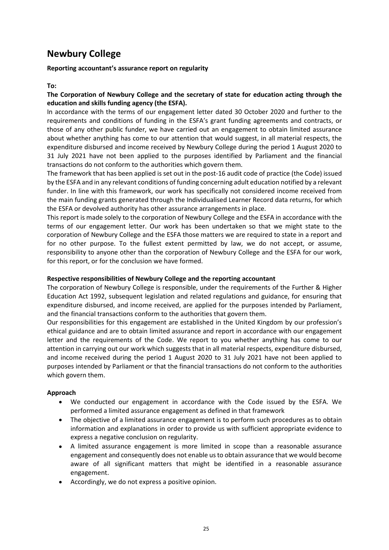Reporting accountant's assurance report on regularity

To:

The Corporation of Newbury College and the secretary of state for education acting through the education and skills funding agency (the ESFA).

In accordance with the terms of our engagement letter dated 30 October 2020 and further to the requirements and conditions of funding in the ESFA's grant funding agreements and contracts, or those of any other public funder, we have carried out an engagement to obtain limited assurance about whether anything has come to our attention that would suggest, in all material respects, the expenditure disbursed and income received by Newbury College during the period 1 August 2020 to 31 July 2021 have not been applied to the purposes identified by Parliament and the financial transactions do not conform to the authorities which govern them.

The framework that has been applied is set out in the post-16 audit code of practice (the Code) issued by the ESFA and in any relevant conditions of funding concerning adult education notified by a relevant funder. In line with this framework, our work has specifically not considered income received from the main funding grants generated through the Individualised Learner Record data returns, for which the ESFA or devolved authority has other assurance arrangements in place.

This report is made solely to the corporation of Newbury College and the ESFA in accordance with the terms of our engagement letter. Our work has been undertaken so that we might state to the corporation of Newbury College and the ESFA those matters we are required to state in a report and for no other purpose. To the fullest extent permitted by law, we do not accept, or assume, responsibility to anyone other than the corporation of Newbury College and the ESFA for our work, for this report, or for the conclusion we have formed.

#### Respective responsibilities of Newbury College and the reporting accountant

The corporation of Newbury College is responsible, under the requirements of the Further & Higher Education Act 1992, subsequent legislation and related regulations and guidance, for ensuring that expenditure disbursed, and income received, are applied for the purposes intended by Parliament, and the financial transactions conform to the authorities that govern them.

Our responsibilities for this engagement are established in the United Kingdom by our profession's ethical guidance and are to obtain limited assurance and report in accordance with our engagement letter and the requirements of the Code. We report to you whether anything has come to our attention in carrying out our work which suggests that in all material respects, expenditure disbursed, and income received during the period 1 August 2020 to 31 July 2021 have not been applied to purposes intended by Parliament or that the financial transactions do not conform to the authorities which govern them.

#### Approach

- We conducted our engagement in accordance with the Code issued by the ESFA. We  $\bullet$ performed a limited assurance engagement as defined in that framework
- The objective of a limited assurance engagement is to perform such procedures as to obtain information and explanations in order to provide us with sufficient appropriate evidence to express a negative conclusion on regularity.
- A limited assurance engagement is more limited in scope than a reasonable assurance engagement and consequently does not enable us to obtain assurance that we would become aware of all significant matters that might be identified in a reasonable assurance engagement.
- Accordingly, we do not express a positive opinion.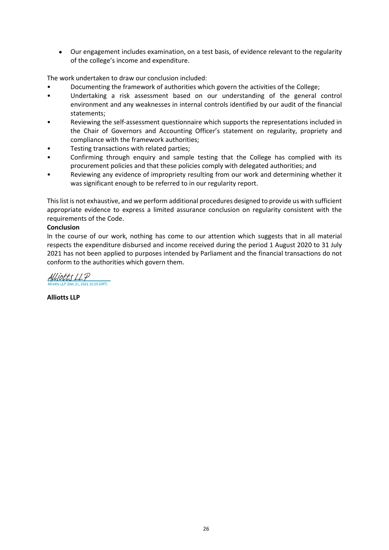Our engagement includes examination, on a test basis, of evidence relevant to the regularity of the college's income and expenditure.

- 
- The work undertaken to draw our conclusion included:<br>
 Documenting the framework of authorities which govern the activities of the College;<br>
 Undertaking a risk assessment based on our understanding of the general contro environment and any weaknesses in internal controls identified by our audit of the financial
- statements;<br>Reviewing the self-assessment questionnaire which supports the representations included in the Chair of Governors and Accounting Officer's statement on regularity, propriety and compliance with the framework authorities;<br>Testing transactions with related parties;<br>Confirming through enquiry and sample testing that the College has complied with its
- 
- procurement policies and that these policies comply with delegated authorities; and<br>Reviewing any evidence of impropriety resulting from our work and determining whether it
- was significant enough to be referred to in our regularity report.

This list is not exhaustive, and we perform additional procedures designed to provide us with sufficient appropriate evidence to express a limited assurance conclusion on regularity consistent with the requirements of the Code.

#### **Conclusion**

In the course of our work, nothing has come to our attention which suggests that in all material respects the expenditure disbursed and income received during the period 1 August 2020 to 31 July 2021 has not been applied to purposes intended by Parliament and the financial transactions do not conform to the authorities which govern them.

Alliotts LLP  $10.25$  GMT)

Alliotts LLP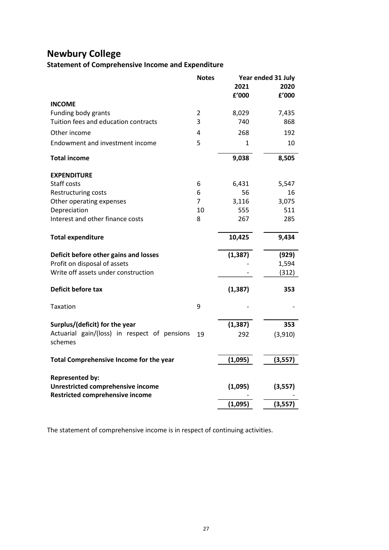# Statement of Comprehensive Income and Expenditure

|                | 2021                                                                                                  | 2020                                                                                                                  |
|----------------|-------------------------------------------------------------------------------------------------------|-----------------------------------------------------------------------------------------------------------------------|
|                | f'000                                                                                                 | £'000                                                                                                                 |
|                |                                                                                                       |                                                                                                                       |
|                |                                                                                                       | 7,435<br>868                                                                                                          |
|                |                                                                                                       | 192                                                                                                                   |
| 5              | $\mathbf{1}$                                                                                          | 10                                                                                                                    |
|                | 9,038                                                                                                 | 8,505                                                                                                                 |
|                |                                                                                                       |                                                                                                                       |
|                |                                                                                                       | 5,547                                                                                                                 |
| 6              | 56                                                                                                    | 16                                                                                                                    |
| $\overline{7}$ | 3,116                                                                                                 | 3,075                                                                                                                 |
| 10             | 555                                                                                                   | 511                                                                                                                   |
|                |                                                                                                       | 285                                                                                                                   |
|                | 10,425                                                                                                | 9,434                                                                                                                 |
|                | (1, 387)                                                                                              | (929)                                                                                                                 |
|                |                                                                                                       | 1,594                                                                                                                 |
|                |                                                                                                       | (312)                                                                                                                 |
|                | (1, 387)                                                                                              | 353                                                                                                                   |
| 9              |                                                                                                       |                                                                                                                       |
|                | (1, 387)                                                                                              | 353                                                                                                                   |
|                | 292                                                                                                   | (3,910)                                                                                                               |
|                | (1,095)                                                                                               | (3,557)                                                                                                               |
|                |                                                                                                       |                                                                                                                       |
|                | (1,095)                                                                                               | (3, 557)                                                                                                              |
|                | (1,095)                                                                                               | (3,557)                                                                                                               |
|                | <b>Notes</b><br>$\overline{2}$<br>3<br>4<br>6<br>8<br>Actuarial gain/(loss) in respect of pensions 19 | <b>Statement of Comprehensive Income and Expenditure</b><br>Year ended 31 July<br>8,029<br>740<br>268<br>6,431<br>267 |

The statement of comprehensive income is in respect of continuing activities.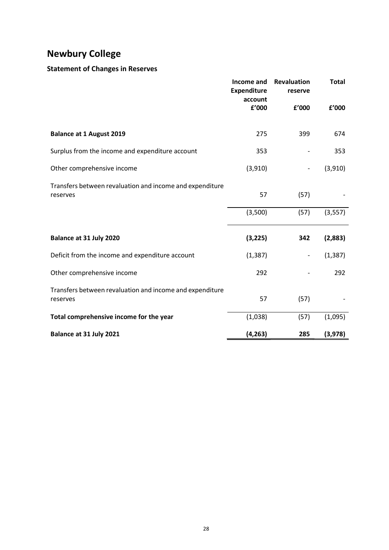# Statement of Changes in Reserves

| <b>Newbury College</b>                                   |                    |                          |              |
|----------------------------------------------------------|--------------------|--------------------------|--------------|
| <b>Statement of Changes in Reserves</b>                  |                    |                          |              |
|                                                          | Income and         | Revaluation              | <b>Total</b> |
|                                                          | <b>Expenditure</b> | reserve                  |              |
|                                                          | account<br>£'000   | £'000                    | £'000        |
|                                                          |                    |                          |              |
| <b>Balance at 1 August 2019</b>                          | 275                | 399                      | 674          |
| Surplus from the income and expenditure account          | 353                | $\overline{\phantom{a}}$ | 353          |
| Other comprehensive income                               | (3,910)            | $\overline{\phantom{a}}$ | (3,910)      |
| Transfers between revaluation and income and expenditure |                    |                          |              |
| reserves                                                 | 57                 | (57)                     |              |
|                                                          | (3,500)            | (57)                     | (3, 557)     |
|                                                          |                    |                          |              |
| Balance at 31 July 2020                                  | (3, 225)           | 342                      | (2,883)      |
| Deficit from the income and expenditure account          | (1, 387)           | $\overline{\phantom{a}}$ | (1, 387)     |
| Other comprehensive income                               | 292                | $\overline{\phantom{a}}$ | 292          |
| Transfers between revaluation and income and expenditure |                    |                          |              |
| reserves                                                 | 57                 | (57)                     |              |
| Total comprehensive income for the year                  | (1,038)            | (57)                     | (1,095)      |
|                                                          | (4, 263)           | 285                      | (3,978)      |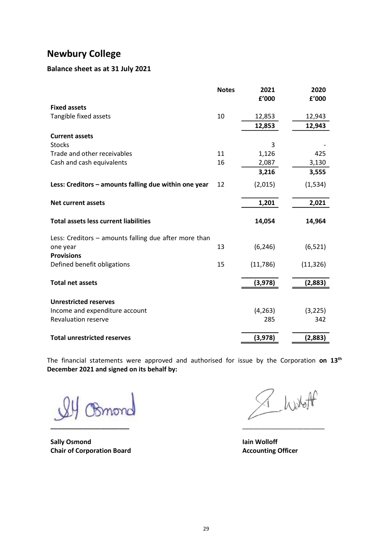## Balance sheet as at 31 July 2021

| 2021<br>2020<br><b>Notes</b><br>£'000<br>£'000<br>10<br>12,853<br>12,943<br>12,853<br>12,943<br>3<br>11<br>1,126<br>425<br>16<br>2,087<br>3,130<br>3,216<br>3,555<br>(2,015)<br>(1, 534)<br>2,021<br>1,201<br>14,054<br>14,964<br>13<br>(6, 246)<br>(6, 521) | <b>Newbury College</b><br>Balance sheet as at 31 July 2021<br><b>Fixed assets</b><br>Tangible fixed assets<br><b>Current assets</b><br><b>Stocks</b><br>Trade and other receivables<br>Cash and cash equivalents<br>Less: Creditors - amounts falling due within one year 12<br>Net current assets<br><b>Total assets less current liabilities</b><br>Less: Creditors - amounts falling due after more than<br>one year<br><b>Provisions</b><br>Defined benefit obligations<br>15<br>(11,786)<br>(3,978)<br><b>Total net assets</b><br><b>Unrestricted reserves</b><br>Income and expenditure account<br>(4, 263)<br>Revaluation reserve<br>285<br>342<br><b>Total unrestricted reserves</b> |
|--------------------------------------------------------------------------------------------------------------------------------------------------------------------------------------------------------------------------------------------------------------|----------------------------------------------------------------------------------------------------------------------------------------------------------------------------------------------------------------------------------------------------------------------------------------------------------------------------------------------------------------------------------------------------------------------------------------------------------------------------------------------------------------------------------------------------------------------------------------------------------------------------------------------------------------------------------------------|
|                                                                                                                                                                                                                                                              |                                                                                                                                                                                                                                                                                                                                                                                                                                                                                                                                                                                                                                                                                              |
|                                                                                                                                                                                                                                                              |                                                                                                                                                                                                                                                                                                                                                                                                                                                                                                                                                                                                                                                                                              |
|                                                                                                                                                                                                                                                              |                                                                                                                                                                                                                                                                                                                                                                                                                                                                                                                                                                                                                                                                                              |
|                                                                                                                                                                                                                                                              |                                                                                                                                                                                                                                                                                                                                                                                                                                                                                                                                                                                                                                                                                              |
|                                                                                                                                                                                                                                                              |                                                                                                                                                                                                                                                                                                                                                                                                                                                                                                                                                                                                                                                                                              |
|                                                                                                                                                                                                                                                              |                                                                                                                                                                                                                                                                                                                                                                                                                                                                                                                                                                                                                                                                                              |
|                                                                                                                                                                                                                                                              |                                                                                                                                                                                                                                                                                                                                                                                                                                                                                                                                                                                                                                                                                              |
|                                                                                                                                                                                                                                                              |                                                                                                                                                                                                                                                                                                                                                                                                                                                                                                                                                                                                                                                                                              |
|                                                                                                                                                                                                                                                              |                                                                                                                                                                                                                                                                                                                                                                                                                                                                                                                                                                                                                                                                                              |
|                                                                                                                                                                                                                                                              |                                                                                                                                                                                                                                                                                                                                                                                                                                                                                                                                                                                                                                                                                              |
|                                                                                                                                                                                                                                                              |                                                                                                                                                                                                                                                                                                                                                                                                                                                                                                                                                                                                                                                                                              |
|                                                                                                                                                                                                                                                              |                                                                                                                                                                                                                                                                                                                                                                                                                                                                                                                                                                                                                                                                                              |
|                                                                                                                                                                                                                                                              |                                                                                                                                                                                                                                                                                                                                                                                                                                                                                                                                                                                                                                                                                              |
|                                                                                                                                                                                                                                                              |                                                                                                                                                                                                                                                                                                                                                                                                                                                                                                                                                                                                                                                                                              |
|                                                                                                                                                                                                                                                              |                                                                                                                                                                                                                                                                                                                                                                                                                                                                                                                                                                                                                                                                                              |
|                                                                                                                                                                                                                                                              |                                                                                                                                                                                                                                                                                                                                                                                                                                                                                                                                                                                                                                                                                              |
|                                                                                                                                                                                                                                                              |                                                                                                                                                                                                                                                                                                                                                                                                                                                                                                                                                                                                                                                                                              |
|                                                                                                                                                                                                                                                              |                                                                                                                                                                                                                                                                                                                                                                                                                                                                                                                                                                                                                                                                                              |
|                                                                                                                                                                                                                                                              |                                                                                                                                                                                                                                                                                                                                                                                                                                                                                                                                                                                                                                                                                              |
|                                                                                                                                                                                                                                                              |                                                                                                                                                                                                                                                                                                                                                                                                                                                                                                                                                                                                                                                                                              |
| (11, 326)                                                                                                                                                                                                                                                    |                                                                                                                                                                                                                                                                                                                                                                                                                                                                                                                                                                                                                                                                                              |
| (2,883)                                                                                                                                                                                                                                                      |                                                                                                                                                                                                                                                                                                                                                                                                                                                                                                                                                                                                                                                                                              |
|                                                                                                                                                                                                                                                              |                                                                                                                                                                                                                                                                                                                                                                                                                                                                                                                                                                                                                                                                                              |
| (3, 225)                                                                                                                                                                                                                                                     |                                                                                                                                                                                                                                                                                                                                                                                                                                                                                                                                                                                                                                                                                              |
|                                                                                                                                                                                                                                                              |                                                                                                                                                                                                                                                                                                                                                                                                                                                                                                                                                                                                                                                                                              |
| (3,978)<br>(2,883)                                                                                                                                                                                                                                           |                                                                                                                                                                                                                                                                                                                                                                                                                                                                                                                                                                                                                                                                                              |

\_\_\_\_\_\_\_\_\_\_\_\_\_\_\_\_\_\_\_\_\_\_ \_\_\_\_\_\_\_\_\_\_\_\_\_\_\_\_\_\_\_\_\_\_\_

Sally Osmond and Iain Wolloff and Iain Wolloff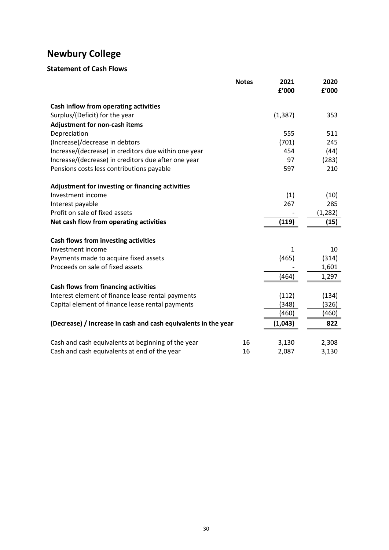| <b>Newbury College</b>                                                |              |              |             |
|-----------------------------------------------------------------------|--------------|--------------|-------------|
| <b>Statement of Cash Flows</b>                                        |              |              |             |
|                                                                       |              |              |             |
|                                                                       | <b>Notes</b> | 2021         | 2020        |
|                                                                       |              | f'000        | f'000       |
| Cash inflow from operating activities                                 |              |              |             |
| Surplus/(Deficit) for the year                                        |              | (1, 387)     | 353         |
| Adjustment for non-cash items                                         |              |              |             |
| Depreciation                                                          |              | 555          | 511         |
| (Increase)/decrease in debtors                                        |              | (701)        | 245         |
| Increase/(decrease) in creditors due within one year                  |              | 454          | (44)        |
| Increase/(decrease) in creditors due after one year                   |              | 97           | (283)       |
| Pensions costs less contributions payable                             |              | 597          | 210         |
|                                                                       |              |              |             |
| Adjustment for investing or financing activities<br>Investment income |              |              |             |
| Interest payable                                                      |              | (1)<br>267   | (10)<br>285 |
| Profit on sale of fixed assets                                        |              |              | (1, 282)    |
| Net cash flow from operating activities                               |              | (119)        | (15)        |
|                                                                       |              |              |             |
| Cash flows from investing activities                                  |              |              |             |
| Investment income                                                     |              | $\mathbf{1}$ | 10          |
| Payments made to acquire fixed assets                                 |              | (465)        | (314)       |
| Proceeds on sale of fixed assets                                      |              |              | 1,601       |
|                                                                       |              | (464)        | 1,297       |
| Cash flows from financing activities                                  |              |              |             |
| Interest element of finance lease rental payments                     |              | (112)        | (134)       |
| Capital element of finance lease rental payments                      |              | (348)        | (326)       |
|                                                                       |              | (460)        | (460)       |
| (Decrease) / Increase in cash and cash equivalents in the year        |              | (1,043)      | 822         |
|                                                                       |              |              |             |
| Cash and cash equivalents at beginning of the year                    | 16           | 3,130        | 2,308       |
| Cash and cash equivalents at end of the year                          | 16           | 2,087        | 3,130       |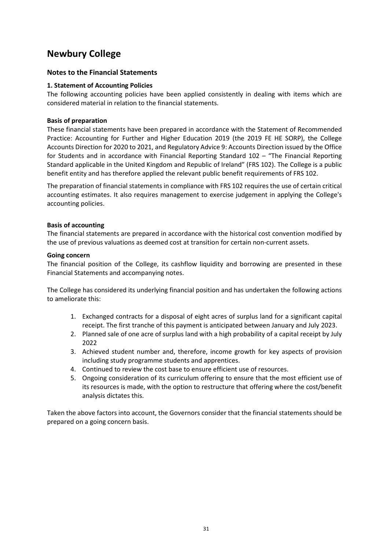#### Notes to the Financial Statements

#### 1. Statement of Accounting Policies

**Newbury College**<br> **Notes to the Financial Statements**<br> **1. Statement of Accounting Policies**<br>
The following accounting policies have been applied consistently in dealing with iter<br>
considered material in relation to the f The following accounting policies have been applied consistently in dealing with items which are considered material in relation to the financial statements.

#### Basis of preparation

These financial statements have been prepared in accordance with the Statement of Recommended Practice: Accounting for Further and Higher Education 2019 (the 2019 FE HE SORP), the College Accounts Direction for 2020 to 2021, and Regulatory Advice 9: Accounts Direction issued by the Office for Students and in accordance with Financial Reporting Standard 102 – "The Financial Reporting Standard applicable in the United Kingdom and Republic of Ireland" (FRS 102). The College is a public benefit entity and has therefore applied the relevant public benefit requirements of FRS 102.

The preparation of financial statements in compliance with FRS 102 requires the use of certain critical accounting estimates. It also requires management to exercise judgement in applying the College's accounting policies.

#### Basis of accounting

The financial statements are prepared in accordance with the historical cost convention modified by the use of previous valuations as deemed cost at transition for certain non-current assets.

#### Going concern

The financial position of the College, its cashflow liquidity and borrowing are presented in these Financial Statements and accompanying notes.

The College has considered its underlying financial position and has undertaken the following actions to ameliorate this:

- 1. Exchanged contracts for a disposal of eight acres of surplus land for a significant capital receipt. The first tranche of this payment is anticipated between January and July 2023.
- 2. Planned sale of one acre of surplus land with a high probability of a capital receipt by July 2022
- 3. Achieved student number and, therefore, income growth for key aspects of provision including study programme students and apprentices.
- 4. Continued to review the cost base to ensure efficient use of resources.
- 5. Ongoing consideration of its curriculum offering to ensure that the most efficient use of its resources is made, with the option to restructure that offering where the cost/benefit analysis dictates this.

Taken the above factors into account, the Governors consider that the financial statements should be prepared on a going concern basis.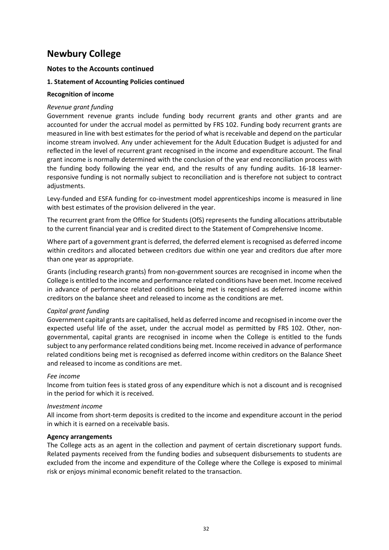#### Notes to the Accounts continued

#### 1. Statement of Accounting Policies continued

#### Recognition of income

#### Revenue grant funding

Government revenue grants include funding body recurrent grants and other grants and are accounted for under the accrual model as permitted by FRS 102. Funding body recurrent grants are measured in line with best estimates for the period of what is receivable and depend on the particular income stream involved. Any under achievement for the Adult Education Budget is adjusted for and reflected in the level of recurrent grant recognised in the income and expenditure account. The final **Newbury College**<br> **Notes to the Accounting Policies continued**<br> **A. Statement of Accounting Policies continued**<br> **Recognition of income**<br> **Revenue grant funding**<br> **Government revenue grants include funding body recurrent** the funding body following the year end, and the results of any funding audits. 16-18 learnerresponsive funding is not normally subject to reconciliation and is therefore not subject to contract adjustments.

Levy-funded and ESFA funding for co-investment model apprenticeships income is measured in line with best estimates of the provision delivered in the year.

The recurrent grant from the Office for Students (OfS) represents the funding allocations attributable to the current financial year and is credited direct to the Statement of Comprehensive Income.

Where part of a government grant is deferred, the deferred element is recognised as deferred income within creditors and allocated between creditors due within one year and creditors due after more than one year as appropriate.

Grants (including research grants) from non-government sources are recognised in income when the College is entitled to the income and performance related conditions have been met. Income received in advance of performance related conditions being met is recognised as deferred income within creditors on the balance sheet and released to income as the conditions are met.

#### Capital grant funding

Government capital grants are capitalised, held as deferred income and recognised in income over the expected useful life of the asset, under the accrual model as permitted by FRS 102. Other, nongovernmental, capital grants are recognised in income when the College is entitled to the funds subject to any performance related conditions being met. Income received in advance of performance related conditions being met is recognised as deferred income within creditors on the Balance Sheet and released to income as conditions are met.

#### Fee income

Income from tuition fees is stated gross of any expenditure which is not a discount and is recognised in the period for which it is received.

#### Investment income

All income from short-term deposits is credited to the income and expenditure account in the period in which it is earned on a receivable basis.

#### Agency arrangements

The College acts as an agent in the collection and payment of certain discretionary support funds. Related payments received from the funding bodies and subsequent disbursements to students are excluded from the income and expenditure of the College where the College is exposed to minimal risk or enjoys minimal economic benefit related to the transaction.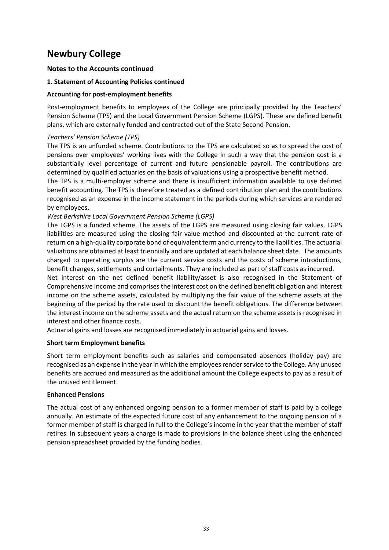#### Notes to the Accounts continued

#### 1. Statement of Accounting Policies continued

#### Accounting for post-employment benefits

Post-employment benefits to employees of the College are principally provided by the Teachers' Pension Scheme (TPS) and the Local Government Pension Scheme (LGPS). These are defined benefit plans, which are externally funded and contracted out of the State Second Pension.

#### Teachers' Pension Scheme (TPS)

The TPS is an unfunded scheme. Contributions to the TPS are calculated so as to spread the cost of pensions over employees' working lives with the College in such a way that the pension cost is a substantially level percentage of current and future pensionable payroll. The contributions are determined by qualified actuaries on the basis of valuations using a prospective benefit method.

The TPS is a multi-employer scheme and there is insufficient information available to use defined benefit accounting. The TPS is therefore treated as a defined contribution plan and the contributions recognised as an expense in the income statement in the periods during which services are rendered by employees.

#### West Berkshire Local Government Pension Scheme (LGPS)

The LGPS is a funded scheme. The assets of the LGPS are measured using closing fair values. LGPS liabilities are measured using the closing fair value method and discounted at the current rate of return on a high-quality corporate bond of equivalent term and currency to the liabilities. The actuarial valuations are obtained at least triennially and are updated at each balance sheet date. The amounts charged to operating surplus are the current service costs and the costs of scheme introductions, benefit changes, settlements and curtailments. They are included as part of staff costs as incurred.

Net interest on the net defined benefit liability/asset is also recognised in the Statement of Comprehensive Income and comprises the interest cost on the defined benefit obligation and interest income on the scheme assets, calculated by multiplying the fair value of the scheme assets at the beginning of the period by the rate used to discount the benefit obligations. The difference between the interest income on the scheme assets and the actual return on the scheme assets is recognised in interest and other finance costs.

Actuarial gains and losses are recognised immediately in actuarial gains and losses.

#### Short term Employment benefits

Short term employment benefits such as salaries and compensated absences (holiday pay) are recognised as an expense in the year in which the employees render service to the College. Any unused benefits are accrued and measured as the additional amount the College expects to pay as a result of the unused entitlement.

#### Enhanced Pensions

The actual cost of any enhanced ongoing pension to a former member of staff is paid by a college annually. An estimate of the expected future cost of any enhancement to the ongoing pension of a former member of staff is charged in full to the College's income in the year that the member of staff retires. In subsequent years a charge is made to provisions in the balance sheet using the enhanced pension spreadsheet provided by the funding bodies.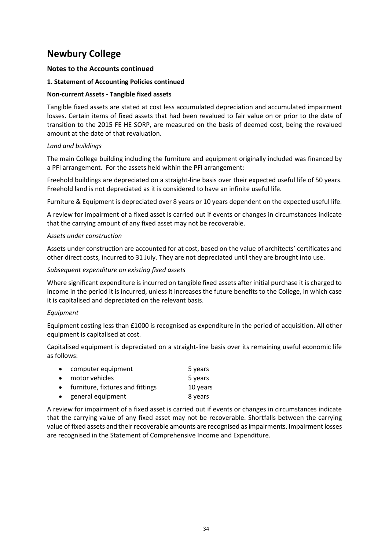#### Notes to the Accounts continued

#### 1. Statement of Accounting Policies continued

#### Non-current Assets - Tangible fixed assets

Tangible fixed assets are stated at cost less accumulated depreciation and accumulated impairment losses. Certain items of fixed assets that had been revalued to fair value on or prior to the date of transition to the 2015 FE HE SORP, are measured on the basis of deemed cost, being the revalued amount at the date of that revaluation.

#### Land and buildings

The main College building including the furniture and equipment originally included was financed by a PFI arrangement. For the assets held within the PFI arrangement:

Freehold buildings are depreciated on a straight-line basis over their expected useful life of 50 years. Freehold land is not depreciated as it is considered to have an infinite useful life.

Furniture & Equipment is depreciated over 8 years or 10 years dependent on the expected useful life.

A review for impairment of a fixed asset is carried out if events or changes in circumstances indicate that the carrying amount of any fixed asset may not be recoverable.

#### Assets under construction

Assets under construction are accounted for at cost, based on the value of architects' certificates and other direct costs, incurred to 31 July. They are not depreciated until they are brought into use.

#### Subsequent expenditure on existing fixed assets

Where significant expenditure is incurred on tangible fixed assets after initial purchase it is charged to income in the period it is incurred, unless it increases the future benefits to the College, in which case it is capitalised and depreciated on the relevant basis.

#### Equipment

Equipment costing less than £1000 is recognised as expenditure in the period of acquisition. All other equipment is capitalised at cost.

Capitalised equipment is depreciated on a straight-line basis over its remaining useful economic life as follows:

| • computer equipment               | 5 years  |
|------------------------------------|----------|
| • motor vehicles                   | 5 years  |
| • furniture, fixtures and fittings | 10 years |
| • general equipment                | 8 years  |

A review for impairment of a fixed asset is carried out if events or changes in circumstances indicate that the carrying value of any fixed asset may not be recoverable. Shortfalls between the carrying value of fixed assets and their recoverable amounts are recognised as impairments. Impairment losses are recognised in the Statement of Comprehensive Income and Expenditure.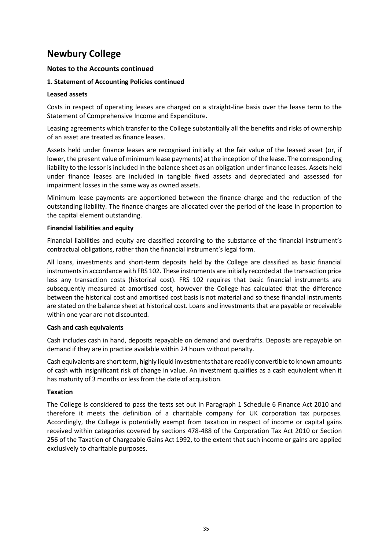#### Notes to the Accounts continued

#### 1. Statement of Accounting Policies continued

#### Leased assets

Costs in respect of operating leases are charged on a straight-line basis over the lease term to the Statement of Comprehensive Income and Expenditure.

Leasing agreements which transfer to the College substantially all the benefits and risks of ownership of an asset are treated as finance leases.

Assets held under finance leases are recognised initially at the fair value of the leased asset (or, if lower, the present value of minimum lease payments) at the inception of the lease. The corresponding liability to the lessor is included in the balance sheet as an obligation under finance leases. Assets held under finance leases are included in tangible fixed assets and depreciated and assessed for impairment losses in the same way as owned assets.

Minimum lease payments are apportioned between the finance charge and the reduction of the outstanding liability. The finance charges are allocated over the period of the lease in proportion to the capital element outstanding.

#### Financial liabilities and equity

Financial liabilities and equity are classified according to the substance of the financial instrument's contractual obligations, rather than the financial instrument's legal form.

All loans, investments and short-term deposits held by the College are classified as basic financial instruments in accordance with FRS 102. These instruments are initially recorded at the transaction price less any transaction costs (historical cost). FRS 102 requires that basic financial instruments are subsequently measured at amortised cost, however the College has calculated that the difference between the historical cost and amortised cost basis is not material and so these financial instruments are stated on the balance sheet at historical cost. Loans and investments that are payable or receivable within one year are not discounted.

#### Cash and cash equivalents

Cash includes cash in hand, deposits repayable on demand and overdrafts. Deposits are repayable on demand if they are in practice available within 24 hours without penalty.

Cash equivalents are short term, highly liquid investments that are readily convertible to known amounts of cash with insignificant risk of change in value. An investment qualifies as a cash equivalent when it has maturity of 3 months or less from the date of acquisition.

#### Taxation

The College is considered to pass the tests set out in Paragraph 1 Schedule 6 Finance Act 2010 and therefore it meets the definition of a charitable company for UK corporation tax purposes. Accordingly, the College is potentially exempt from taxation in respect of income or capital gains received within categories covered by sections 478-488 of the Corporation Tax Act 2010 or Section 256 of the Taxation of Chargeable Gains Act 1992, to the extent that such income or gains are applied exclusively to charitable purposes.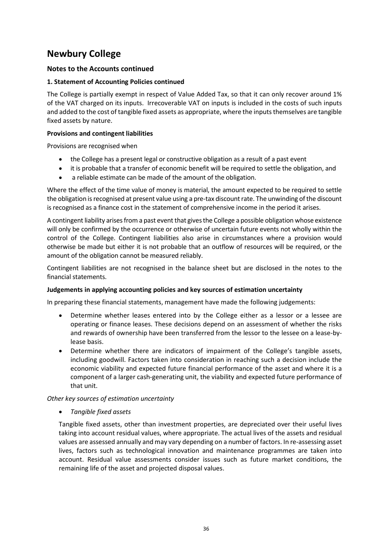## Notes to the Accounts continued

#### 1. Statement of Accounting Policies continued

The College is partially exempt in respect of Value Added Tax, so that it can only recover around 1% of the VAT charged on its inputs. Irrecoverable VAT on inputs is included in the costs of such inputs and added to the cost of tangible fixed assets as appropriate, where the inputs themselves are tangible fixed assets by nature.

#### Provisions and contingent liabilities

Provisions are recognised when

- the College has a present legal or constructive obligation as a result of a past event
- it is probable that a transfer of economic benefit will be required to settle the obligation, and
- a reliable estimate can be made of the amount of the obligation.  $\bullet$

Where the effect of the time value of money is material, the amount expected to be required to settle the obligation is recognised at present value using a pre-tax discount rate. The unwinding of the discount is recognised as a finance cost in the statement of comprehensive income in the period it arises.

A contingent liability arises from a past event that gives the College a possible obligation whose existence will only be confirmed by the occurrence or otherwise of uncertain future events not wholly within the control of the College. Contingent liabilities also arise in circumstances where a provision would otherwise be made but either it is not probable that an outflow of resources will be required, or the amount of the obligation cannot be measured reliably.

Contingent liabilities are not recognised in the balance sheet but are disclosed in the notes to the financial statements.

#### Judgements in applying accounting policies and key sources of estimation uncertainty

In preparing these financial statements, management have made the following judgements:

- Determine whether leases entered into by the College either as a lessor or a lessee are operating or finance leases. These decisions depend on an assessment of whether the risks and rewards of ownership have been transferred from the lessor to the lessee on a lease-bylease basis.
- Determine whether there are indicators of impairment of the College's tangible assets, including goodwill. Factors taken into consideration in reaching such a decision include the economic viability and expected future financial performance of the asset and where it is a component of a larger cash-generating unit, the viability and expected future performance of that unit.

#### Other key sources of estimation uncertainty

Tangible fixed assets

Tangible fixed assets, other than investment properties, are depreciated over their useful lives taking into account residual values, where appropriate. The actual lives of the assets and residual values are assessed annually and may vary depending on a number of factors. In re-assessing asset lives, factors such as technological innovation and maintenance programmes are taken into account. Residual value assessments consider issues such as future market conditions, the remaining life of the asset and projected disposal values.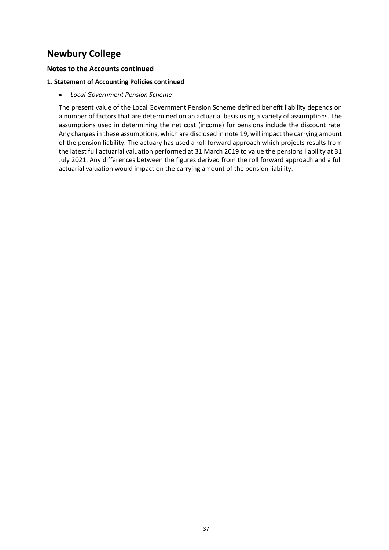#### Notes to the Accounts continued

#### 1. Statement of Accounting Policies continued

Local Government Pension Scheme

The present value of the Local Government Pension Scheme defined benefit liability depends on a number of factors that are determined on an actuarial basis using a variety of assumptions. The assumptions used in determining the net cost (income) for pensions include the discount rate. Any changes in these assumptions, which are disclosed in note 19, will impact the carrying amount of the pension liability. The actuary has used a roll forward approach which projects results from the latest full actuarial valuation performed at 31 March 2019 to value the pensions liability at 31 July 2021. Any differences between the figures derived from the roll forward approach and a full actuarial valuation would impact on the carrying amount of the pension liability.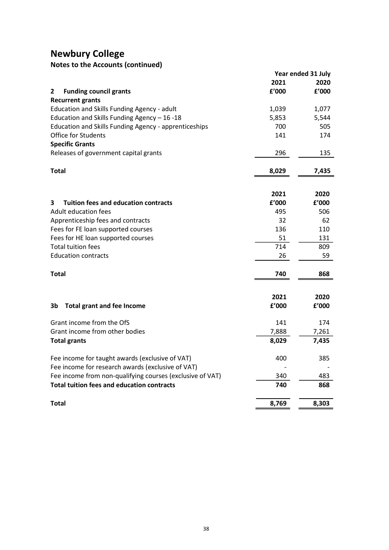| <b>Newbury College</b>                                    |       |                    |
|-----------------------------------------------------------|-------|--------------------|
| <b>Notes to the Accounts (continued)</b>                  |       |                    |
|                                                           |       | Year ended 31 July |
|                                                           | 2021  | 2020               |
| <b>Funding council grants</b><br>$\mathbf{2}$             | £'000 | f'000              |
| <b>Recurrent grants</b>                                   |       |                    |
| Education and Skills Funding Agency - adult               | 1,039 | 1,077              |
| Education and Skills Funding Agency - 16 -18              | 5,853 | 5,544              |
| Education and Skills Funding Agency - apprenticeships     | 700   | 505                |
| Office for Students                                       | 141   | 174                |
| <b>Specific Grants</b>                                    |       |                    |
| Releases of government capital grants                     | 296   | 135                |
|                                                           |       |                    |
| <b>Total</b>                                              | 8,029 | 7,435              |
|                                                           |       |                    |
|                                                           |       |                    |
|                                                           | 2021  | 2020               |
| Tuition fees and education contracts<br>3                 | f'000 | f'000              |
| Adult education fees                                      | 495   | 506                |
| Apprenticeship fees and contracts                         | 32    | 62                 |
| Fees for FE loan supported courses                        | 136   | 110                |
| Fees for HE loan supported courses                        | 51    | 131                |
| <b>Total tuition fees</b>                                 | 714   | 809                |
| <b>Education contracts</b>                                | 26    | 59                 |
|                                                           |       |                    |
| <b>Total</b>                                              | 740   | 868                |
|                                                           |       |                    |
|                                                           | 2021  | 2020               |
| <b>Total grant and fee Income</b><br>3b                   | £'000 | £'000              |
|                                                           |       |                    |
| Grant income from the OfS                                 | 141   | 174                |
| Grant income from other bodies                            | 7,888 | 7,261              |
| <b>Total grants</b>                                       | 8,029 | 7,435              |
| Fee income for taught awards (exclusive of VAT)           | 400   | 385                |
| Fee income for research awards (exclusive of VAT)         |       |                    |
| Fee income from non-qualifying courses (exclusive of VAT) | 340   | 483                |
| <b>Total tuition fees and education contracts</b>         | 740   | 868                |
|                                                           |       |                    |
| <b>Total</b>                                              | 8,769 | 8,303              |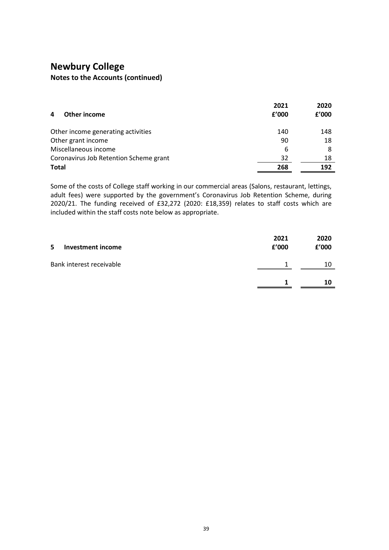| <b>Newbury College</b>                                                                                                                                                                       |                                |                                |
|----------------------------------------------------------------------------------------------------------------------------------------------------------------------------------------------|--------------------------------|--------------------------------|
| <b>Notes to the Accounts (continued)</b>                                                                                                                                                     |                                |                                |
|                                                                                                                                                                                              |                                |                                |
|                                                                                                                                                                                              |                                |                                |
|                                                                                                                                                                                              | 2021                           | 2020                           |
| <b>Other income</b><br>4                                                                                                                                                                     | f'000                          | f'000                          |
| Other income generating activities                                                                                                                                                           | 140                            | 148                            |
| Other grant income                                                                                                                                                                           | 90                             | 18                             |
| Miscellaneous income                                                                                                                                                                         | 6                              | 8                              |
| Coronavirus Job Retention Scheme grant                                                                                                                                                       | 32                             | 18                             |
| <b>Total</b>                                                                                                                                                                                 | 268                            | 192                            |
|                                                                                                                                                                                              |                                |                                |
| Some of the costs of College staff working in our commercial areas (Salons, restaurant, lettings,<br>adult fees) were supported by the government's Coronavirus Job Retention Scheme, during |                                |                                |
|                                                                                                                                                                                              |                                |                                |
|                                                                                                                                                                                              |                                |                                |
| 2020/21. The funding received of £32,272 (2020: £18,359) relates to staff costs which are<br>included within the staff costs note below as appropriate.                                      |                                |                                |
|                                                                                                                                                                                              |                                |                                |
|                                                                                                                                                                                              |                                |                                |
| 5 Investment income                                                                                                                                                                          | 2021<br>${\bf f}^{\prime}$ 000 | 2020<br>${\bf f}^{\prime}$ 000 |
| Bank interest receivable                                                                                                                                                                     | $\mathbf{1}$                   | 10                             |
|                                                                                                                                                                                              | $\mathbf{1}$                   | 10                             |

| 5<br>Investment income   | 2021<br>f'000 | 2020<br>£'000 |  |
|--------------------------|---------------|---------------|--|
| Bank interest receivable |               | 10            |  |
|                          |               | 10            |  |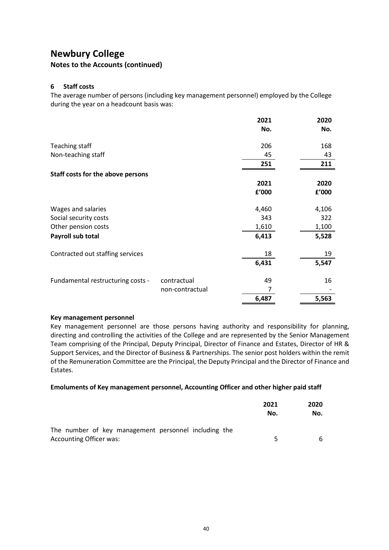#### Notes to the Accounts (continued)

#### 6 Staff costs

| <b>Newbury College</b>                                                                                                                  |                 |                |                |
|-----------------------------------------------------------------------------------------------------------------------------------------|-----------------|----------------|----------------|
| <b>Notes to the Accounts (continued)</b>                                                                                                |                 |                |                |
|                                                                                                                                         |                 |                |                |
| 6 Staff costs                                                                                                                           |                 |                |                |
| The average number of persons (including key management personnel) employed by the College<br>during the year on a headcount basis was: |                 |                |                |
|                                                                                                                                         |                 | 2021           | 2020           |
|                                                                                                                                         |                 | No.            | No.            |
| Teaching staff                                                                                                                          |                 | 206            | 168            |
| Non-teaching staff                                                                                                                      |                 | 45             | 43             |
|                                                                                                                                         |                 | 251            | 211            |
| Staff costs for the above persons                                                                                                       |                 |                |                |
|                                                                                                                                         |                 | 2021<br>f'000  | 2020<br>£'000  |
|                                                                                                                                         |                 |                |                |
| Wages and salaries                                                                                                                      |                 | 4,460          | 4,106          |
| Social security costs                                                                                                                   |                 | 343            | 322            |
| Other pension costs<br>Payroll sub total                                                                                                |                 | 1,610<br>6,413 | 1,100<br>5,528 |
|                                                                                                                                         |                 |                |                |
| Contracted out staffing services                                                                                                        |                 | 18             | 19             |
|                                                                                                                                         |                 | 6,431          | 5,547          |
| Fundamental restructuring costs -                                                                                                       | contractual     | 49             | 16             |
|                                                                                                                                         | non-contractual | $\overline{7}$ |                |
|                                                                                                                                         |                 | 6,487          | 5,563          |

#### Key management personnel

Key management personnel are those persons having authority and responsibility for planning, directing and controlling the activities of the College and are represented by the Senior Management Team comprising of the Principal, Deputy Principal, Director of Finance and Estates, Director of HR & Support Services, and the Director of Business & Partnerships. The senior post holders within the remit of the Remuneration Committee are the Principal, the Deputy Principal and the Director of Finance and Estates.

#### Emoluments of Key management personnel, Accounting Officer and other higher paid staff

|                                                                                        | 2021<br>No. | 2020<br>No. |  |
|----------------------------------------------------------------------------------------|-------------|-------------|--|
| The number of key management personnel including the<br><b>Accounting Officer was:</b> | ь.          | h           |  |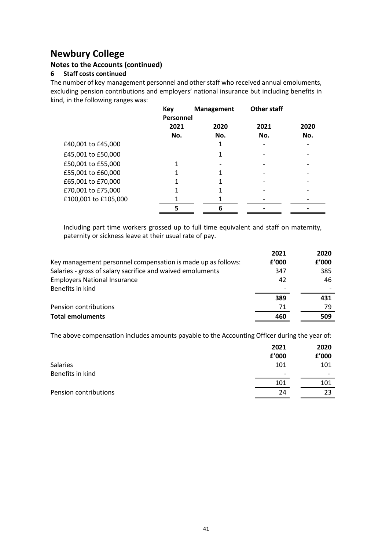## Notes to the Accounts (continued)

#### 6 Staff costs continued

| <b>Ewbury College</b>                                                                                                                                                          |            |                   |             |      |
|--------------------------------------------------------------------------------------------------------------------------------------------------------------------------------|------------|-------------------|-------------|------|
| tes to the Accounts (continued)                                                                                                                                                |            |                   |             |      |
| <b>Staff costs continued</b>                                                                                                                                                   |            |                   |             |      |
| number of key management personnel and other staff who received annual emoluments,<br>luding pension contributions and employers' national insurance but including benefits in |            |                   |             |      |
| d, in the following ranges was:                                                                                                                                                |            |                   |             |      |
|                                                                                                                                                                                | <b>Key</b> | <b>Management</b> | Other staff |      |
|                                                                                                                                                                                | Personnel  |                   |             |      |
|                                                                                                                                                                                | 2021       | 2020              | 2021        | 2020 |
|                                                                                                                                                                                | No.        | No.               | No.         | No.  |
| £40,001 to £45,000                                                                                                                                                             |            | 1                 |             |      |
| £45,001 to £50,000                                                                                                                                                             |            | 1                 |             |      |
| £50,001 to £55,000                                                                                                                                                             | 1          |                   |             |      |
| £55,001 to £60,000                                                                                                                                                             | 1          | 1                 |             |      |
| £65,001 to £70,000                                                                                                                                                             | 1          | 1                 |             |      |
|                                                                                                                                                                                | 1          | 1                 |             |      |
| £70,001 to £75,000                                                                                                                                                             |            |                   |             |      |
| £100,001 to £105,000                                                                                                                                                           | 1          | 1                 |             |      |

|                                                                                               | ÷ |           |           |
|-----------------------------------------------------------------------------------------------|---|-----------|-----------|
| £70,001 to £75,000                                                                            |   |           |           |
| £100,001 to £105,000                                                                          |   |           |           |
|                                                                                               | 6 |           |           |
|                                                                                               |   |           |           |
| Including part time workers grossed up to full time equivalent and staff on maternity,        |   |           |           |
| paternity or sickness leave at their usual rate of pay.                                       |   |           |           |
|                                                                                               |   |           |           |
|                                                                                               |   | 2021      | 2020      |
| Key management personnel compensation is made up as follows:                                  |   | £'000     | £'000     |
| Salaries - gross of salary sacrifice and waived emoluments                                    |   | 347       | 385       |
| <b>Employers National Insurance</b>                                                           |   | 42        | 46        |
| Benefits in kind                                                                              |   |           |           |
|                                                                                               |   | 389       | 431       |
| Pension contributions                                                                         |   | 71        | 79        |
| <b>Total emoluments</b>                                                                       |   | 460       | 509       |
|                                                                                               |   |           |           |
| The above compensation includes amounts payable to the Accounting Officer during the year of: |   |           |           |
|                                                                                               |   | 2021      | 2020      |
|                                                                                               |   | £'000     | £'000     |
|                                                                                               |   | 101       | 101       |
|                                                                                               |   |           |           |
| Salaries                                                                                      |   |           |           |
| Benefits in kind                                                                              |   |           |           |
| Pension contributions                                                                         |   | 101<br>24 | 101<br>23 |

|                       | 2021                     | 2020                     |
|-----------------------|--------------------------|--------------------------|
|                       | £'000                    | £'000                    |
| <b>Salaries</b>       | 101                      | 101                      |
| Benefits in kind      | $\overline{\phantom{a}}$ | $\overline{\phantom{0}}$ |
|                       | 101                      | 101                      |
| Pension contributions | 24                       | 23                       |
|                       |                          |                          |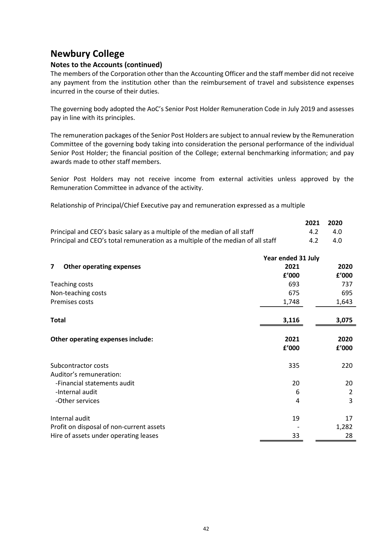## Notes to the Accounts (continued)

The members of the Corporation other than the Accounting Officer and the staff member did not receive any payment from the institution other than the reimbursement of travel and subsistence expenses incurred in the course of their duties.

The governing body adopted the AoC's Senior Post Holder Remuneration Code in July 2019 and assesses pay in line with its principles.

|                                                                                 | 2021 | - 2020 |
|---------------------------------------------------------------------------------|------|--------|
| Principal and CEO's basic salary as a multiple of the median of all staff       | 4.2  | -4.0   |
| Principal and CEO's total remuneration as a multiple of the median of all staff | 4.2  | -4.0   |

| Committee of the governing body taking into consideration the personal performance of the individual<br>Senior Post Holder; the financial position of the College; external benchmarking information; and pay<br>awards made to other staff members. |                    |      | The remuneration packages of the Senior Post Holders are subject to annual review by the Remuneration |
|------------------------------------------------------------------------------------------------------------------------------------------------------------------------------------------------------------------------------------------------------|--------------------|------|-------------------------------------------------------------------------------------------------------|
| Senior Post Holders may not receive income from external activities unless approved by the<br>Remuneration Committee in advance of the activity.                                                                                                     |                    |      |                                                                                                       |
| Relationship of Principal/Chief Executive pay and remuneration expressed as a multiple                                                                                                                                                               |                    |      |                                                                                                       |
|                                                                                                                                                                                                                                                      |                    | 2021 | 2020                                                                                                  |
| Principal and CEO's basic salary as a multiple of the median of all staff                                                                                                                                                                            |                    | 4.2  | 4.0                                                                                                   |
| Principal and CEO's total remuneration as a multiple of the median of all staff                                                                                                                                                                      |                    | 4.2  | 4.0                                                                                                   |
|                                                                                                                                                                                                                                                      | Year ended 31 July |      |                                                                                                       |
| 7 Other operating expenses                                                                                                                                                                                                                           | 2021               |      | 2020                                                                                                  |
|                                                                                                                                                                                                                                                      | £'000              |      | f'000                                                                                                 |
| Teaching costs                                                                                                                                                                                                                                       | 693                |      | 737                                                                                                   |
| Non-teaching costs                                                                                                                                                                                                                                   | 675                |      | 695                                                                                                   |
| Premises costs                                                                                                                                                                                                                                       | 1,748              |      | 1,643                                                                                                 |
| <b>Total</b>                                                                                                                                                                                                                                         | 3,116              |      | 3,075                                                                                                 |
| Other operating expenses include:                                                                                                                                                                                                                    | 2021               |      | 2020                                                                                                  |
|                                                                                                                                                                                                                                                      | £'000              |      | f'000                                                                                                 |
| Subcontractor costs                                                                                                                                                                                                                                  | 335                |      | 220                                                                                                   |
| Auditor's remuneration:                                                                                                                                                                                                                              |                    |      |                                                                                                       |
| -Financial statements audit                                                                                                                                                                                                                          | 20                 |      | 20                                                                                                    |
| -Internal audit                                                                                                                                                                                                                                      | 6                  |      | $\overline{2}$                                                                                        |
| -Other services                                                                                                                                                                                                                                      | 4                  |      | 3                                                                                                     |
| Internal audit                                                                                                                                                                                                                                       | 19                 |      | 17                                                                                                    |
| Profit on disposal of non-current assets                                                                                                                                                                                                             |                    |      | 1,282                                                                                                 |
| Hire of assets under operating leases                                                                                                                                                                                                                | 33                 |      | 28                                                                                                    |
|                                                                                                                                                                                                                                                      |                    |      |                                                                                                       |
|                                                                                                                                                                                                                                                      |                    |      |                                                                                                       |
|                                                                                                                                                                                                                                                      |                    |      |                                                                                                       |
|                                                                                                                                                                                                                                                      |                    |      |                                                                                                       |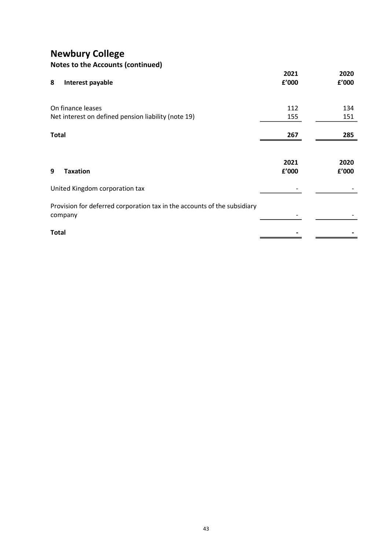| <b>Notes to the Accounts (continued)</b> |  |
|------------------------------------------|--|
|------------------------------------------|--|

| <b>Newbury College</b>                                                              |       |       |
|-------------------------------------------------------------------------------------|-------|-------|
| Notes to the Accounts (continued)                                                   | 2021  | 2020  |
| Interest payable<br>8                                                               | f'000 | £'000 |
| On finance leases                                                                   | 112   | 134   |
| Net interest on defined pension liability (note 19)                                 | 155   | 151   |
| <b>Total</b>                                                                        | 267   | 285   |
|                                                                                     | 2021  | 2020  |
| 9<br><b>Taxation</b>                                                                | £'000 | £'000 |
| United Kingdom corporation tax                                                      |       |       |
| Provision for deferred corporation tax in the accounts of the subsidiary<br>company |       |       |
| <b>Total</b>                                                                        |       |       |
|                                                                                     |       |       |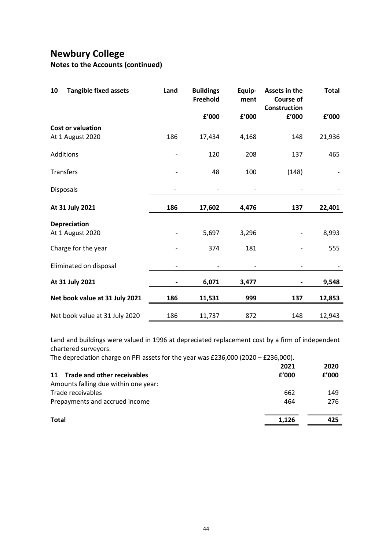| <b>Newbury College</b><br><b>Notes to the Accounts (continued)</b>                                                                                                                                            |                          |                              |                          |                                                   |                          |
|---------------------------------------------------------------------------------------------------------------------------------------------------------------------------------------------------------------|--------------------------|------------------------------|--------------------------|---------------------------------------------------|--------------------------|
| <b>Tangible fixed assets</b><br>10                                                                                                                                                                            | Land                     | <b>Buildings</b><br>Freehold | Equip-<br>ment           | Assets in the<br><b>Course of</b><br>Construction | <b>Total</b>             |
|                                                                                                                                                                                                               |                          | £'000                        | £'000                    | £'000                                             | £'000                    |
| <b>Cost or valuation</b><br>At 1 August 2020                                                                                                                                                                  | 186                      | 17,434                       | 4,168                    | 148                                               | 21,936                   |
| Additions                                                                                                                                                                                                     | $\overline{\phantom{a}}$ | 120                          | 208                      | 137                                               | 465                      |
| Transfers                                                                                                                                                                                                     | $\overline{\phantom{a}}$ | 48                           | 100                      | (148)                                             |                          |
| Disposals                                                                                                                                                                                                     | $\overline{\phantom{a}}$ | $\overline{\phantom{a}}$     | $\overline{\phantom{a}}$ | $\overline{\phantom{a}}$                          | $\overline{\phantom{a}}$ |
| At 31 July 2021                                                                                                                                                                                               | 186                      | 17,602                       | 4,476                    | 137                                               | 22,401                   |
| <b>Depreciation</b><br>At 1 August 2020                                                                                                                                                                       | $\overline{\phantom{a}}$ | 5,697                        | 3,296                    | $\overline{\phantom{a}}$                          | 8,993                    |
| Charge for the year                                                                                                                                                                                           | $\overline{\phantom{a}}$ | 374                          | 181                      | $\blacksquare$                                    | 555                      |
| Eliminated on disposal                                                                                                                                                                                        |                          |                              |                          |                                                   |                          |
| At 31 July 2021                                                                                                                                                                                               |                          | 6,071                        | 3,477                    |                                                   | 9,548                    |
| Net book value at 31 July 2021                                                                                                                                                                                | 186                      | 11,531                       | 999                      | 137                                               | 12,853                   |
| Net book value at 31 July 2020                                                                                                                                                                                | 186                      | 11,737                       | 872                      | 148                                               | 12,943                   |
| Land and buildings were valued in 1996 at depreciated replacement cost by a firm of independent<br>chartered surveyors.<br>The depreciation charge on PFI assets for the year was £236,000 (2020 - £236,000). |                          |                              |                          |                                                   |                          |
|                                                                                                                                                                                                               |                          |                              |                          | 2021                                              | 2020                     |
| 11 Trade and other receivables<br>Amounts falling due within one year:                                                                                                                                        |                          |                              |                          | ${\bf f}^{\prime}$ 000                            | ${\bf f}^{\prime}$ 000   |
| Trade receivables<br>Prepayments and accrued income                                                                                                                                                           |                          |                              |                          | 662<br>464                                        | 149<br>276               |
|                                                                                                                                                                                                               |                          |                              |                          |                                                   |                          |
| <b>Total</b>                                                                                                                                                                                                  |                          |                              |                          | 1,126                                             | 425                      |

|                                      | 2021  | 2020  |  |
|--------------------------------------|-------|-------|--|
| 11 Trade and other receivables       | f'000 | f'000 |  |
| Amounts falling due within one year: |       |       |  |
| Trade receivables                    | 662   | 149   |  |
| Prepayments and accrued income       | 464   | 276   |  |
| <b>Total</b>                         | 1,126 | 425   |  |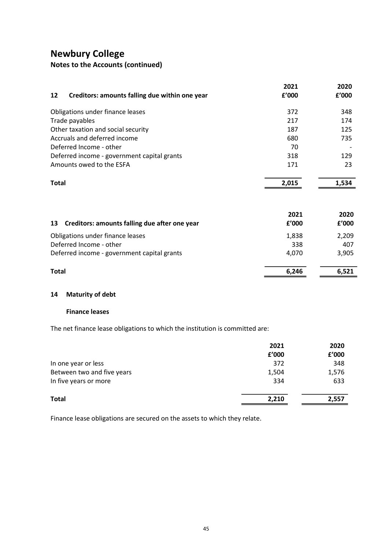# Notes to the Accounts (continued)

| <b>Newbury College</b>                                                       |       |       |
|------------------------------------------------------------------------------|-------|-------|
| Notes to the Accounts (continued)                                            |       |       |
|                                                                              | 2021  | 2020  |
| Creditors: amounts falling due within one year<br>12                         | £'000 | £'000 |
| Obligations under finance leases                                             | 372   | 348   |
| Trade payables                                                               | 217   | 174   |
| Other taxation and social security                                           | 187   | 125   |
| Accruals and deferred income                                                 | 680   | 735   |
| Deferred Income - other                                                      | 70    |       |
| Deferred income - government capital grants                                  | 318   | 129   |
| Amounts owed to the ESFA                                                     | 171   | 23    |
| <b>Total</b>                                                                 | 2,015 | 1,534 |
|                                                                              |       |       |
|                                                                              | 2021  | 2020  |
| 13 Creditors: amounts falling due after one year                             | f'000 | £'000 |
| Obligations under finance leases                                             | 1,838 | 2,209 |
| Deferred Income - other                                                      | 338   | 407   |
| Deferred income - government capital grants                                  | 4,070 | 3,905 |
| <b>Total</b>                                                                 | 6,246 | 6,521 |
|                                                                              |       |       |
| <b>Maturity of debt</b><br>14                                                |       |       |
| <b>Finance leases</b>                                                        |       |       |
| The net finance lease obligations to which the institution is committed are: |       |       |
|                                                                              | 2021  | 2020  |
|                                                                              | £'000 | f'000 |
| In one year or less                                                          | 372   | 348   |
| Between two and five years                                                   | 1,504 | 1,576 |
| In five years or more                                                        | 334   | 633   |
| <b>Total</b>                                                                 | 2,210 | 2,557 |
|                                                                              |       |       |
| Finance lease obligations are secured on the assets to which they relate.    |       |       |

## 14 Maturity of debt

#### Finance leases

| Deferred Income - other<br>338<br>Deferred income - government capital grants<br>4,070<br>6,246<br><b>Total</b><br><b>Maturity of debt</b><br>14 | 407<br>3,905<br>6,521 |
|--------------------------------------------------------------------------------------------------------------------------------------------------|-----------------------|
|                                                                                                                                                  |                       |
|                                                                                                                                                  |                       |
|                                                                                                                                                  |                       |
|                                                                                                                                                  |                       |
| <b>Finance leases</b>                                                                                                                            |                       |
| The net finance lease obligations to which the institution is committed are:                                                                     |                       |
| 2021                                                                                                                                             | 2020                  |
| £'000                                                                                                                                            | f'000                 |
| In one year or less<br>372                                                                                                                       | 348                   |
| Between two and five years<br>1,504                                                                                                              | 1,576                 |
| In five years or more<br>334                                                                                                                     | 633                   |
| <b>Total</b><br>2,210                                                                                                                            | 2,557                 |
|                                                                                                                                                  |                       |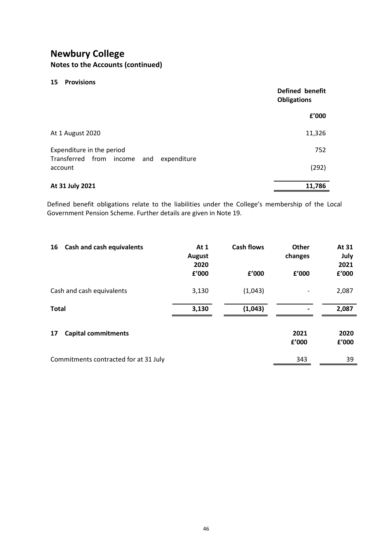# Notes to the Accounts (continued)

| Defined benefit<br><b>Obligations</b> |
|---------------------------------------|
| f'000                                 |
| 11,326                                |
| 752                                   |
|                                       |
| (292)                                 |
|                                       |

|                                                                                                                                                                       |                |                   | f'000                    |                                |
|-----------------------------------------------------------------------------------------------------------------------------------------------------------------------|----------------|-------------------|--------------------------|--------------------------------|
| At 1 August 2020                                                                                                                                                      |                |                   | 11,326                   |                                |
| Expenditure in the period                                                                                                                                             |                |                   | 752                      |                                |
| Transferred from income and expenditure<br>account                                                                                                                    |                |                   | (292)                    |                                |
| At 31 July 2021                                                                                                                                                       |                |                   | 11,786                   |                                |
| Defined benefit obligations relate to the liabilities under the College's membership of the Local<br>Government Pension Scheme. Further details are given in Note 19. |                |                   |                          |                                |
| 16 Cash and cash equivalents                                                                                                                                          | At 1<br>August | <b>Cash flows</b> | Other<br>changes         | At 31<br>July                  |
|                                                                                                                                                                       | 2020<br>£'000  | f'000             | £'000                    | 2021<br>${\bf f}^{\prime}$ 000 |
| Cash and cash equivalents                                                                                                                                             | 3,130          | (1,043)           | -                        | 2,087                          |
| <b>Total</b>                                                                                                                                                          | 3,130          | (1,043)           | $\overline{\phantom{0}}$ | 2,087                          |
| <b>Capital commitments</b><br>17                                                                                                                                      |                |                   | 2021                     | 2020                           |
|                                                                                                                                                                       |                |                   | £'000                    | £'000                          |
| Commitments contracted for at 31 July                                                                                                                                 |                |                   | 343                      | 39                             |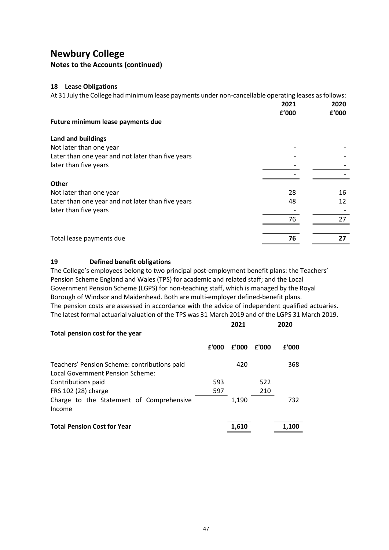## Notes to the Accounts (continued)

#### 18 Lease Obligations

| <b>Newbury College</b>                                                                                                              |       |       |       |          |       |
|-------------------------------------------------------------------------------------------------------------------------------------|-------|-------|-------|----------|-------|
| <b>Notes to the Accounts (continued)</b>                                                                                            |       |       |       |          |       |
|                                                                                                                                     |       |       |       |          |       |
| <b>18</b> Lease Obligations<br>At 31 July the College had minimum lease payments under non-cancellable operating leases as follows: |       |       |       |          |       |
|                                                                                                                                     |       |       |       | 2021     | 2020  |
|                                                                                                                                     |       |       |       | £'000    | £'000 |
| Future minimum lease payments due                                                                                                   |       |       |       |          |       |
| Land and buildings                                                                                                                  |       |       |       |          |       |
| Not later than one year                                                                                                             |       |       |       |          |       |
| Later than one year and not later than five years                                                                                   |       |       |       |          |       |
| later than five years                                                                                                               |       |       |       |          |       |
|                                                                                                                                     |       |       |       |          |       |
| Other                                                                                                                               |       |       |       |          |       |
| Not later than one year                                                                                                             |       |       |       | 28<br>48 | 16    |
| Later than one year and not later than five years<br>later than five years                                                          |       |       |       |          | 12    |
|                                                                                                                                     |       |       |       | 76       | 27    |
| Total lease payments due                                                                                                            |       |       |       | 76       | 27    |
|                                                                                                                                     |       |       |       |          |       |
| 19<br><b>Defined benefit obligations</b>                                                                                            |       |       |       |          |       |
| The College's employees belong to two principal post-employment benefit plans: the Teachers'                                        |       |       |       |          |       |
| Pension Scheme England and Wales (TPS) for academic and related staff; and the Local                                                |       |       |       |          |       |
| Government Pension Scheme (LGPS) for non-teaching staff, which is managed by the Royal                                              |       |       |       |          |       |
| Borough of Windsor and Maidenhead. Both are multi-employer defined-benefit plans.                                                   |       |       |       |          |       |
| The pension costs are assessed in accordance with the advice of independent qualified actuaries.                                    |       |       |       |          |       |
| The latest formal actuarial valuation of the TPS was 31 March 2019 and of the LGPS 31 March 2019.                                   |       |       |       |          |       |
|                                                                                                                                     |       | 2021  |       | 2020     |       |
| Total pension cost for the year                                                                                                     |       |       |       |          |       |
|                                                                                                                                     | £'000 | £'000 | £'000 | £'000    |       |
| Teachers' Pension Scheme: contributions paid<br>Local Government Pension Scheme:                                                    |       | 420   |       | 368      |       |
| Contributions paid                                                                                                                  | 593   |       | 522   |          |       |
| FRS 102 (28) charge                                                                                                                 | 597   |       | 210   |          |       |

#### 19 Defined benefit obligations

|                          |                                                                                                   |       |       |       | 76    | 27 |
|--------------------------|---------------------------------------------------------------------------------------------------|-------|-------|-------|-------|----|
| Total lease payments due |                                                                                                   |       |       |       | 76    | 27 |
| 19                       | <b>Defined benefit obligations</b>                                                                |       |       |       |       |    |
|                          | The College's employees belong to two principal post-employment benefit plans: the Teachers'      |       |       |       |       |    |
|                          | Pension Scheme England and Wales (TPS) for academic and related staff; and the Local              |       |       |       |       |    |
|                          | Government Pension Scheme (LGPS) for non-teaching staff, which is managed by the Royal            |       |       |       |       |    |
|                          | Borough of Windsor and Maidenhead. Both are multi-employer defined-benefit plans.                 |       |       |       |       |    |
|                          | The pension costs are assessed in accordance with the advice of independent qualified actuaries.  |       |       |       |       |    |
|                          | The latest formal actuarial valuation of the TPS was 31 March 2019 and of the LGPS 31 March 2019. |       |       |       |       |    |
|                          |                                                                                                   |       | 2021  |       | 2020  |    |
|                          | Total pension cost for the year                                                                   |       |       |       |       |    |
|                          |                                                                                                   | £'000 | £'000 | £'000 | £'000 |    |
|                          |                                                                                                   |       |       |       |       |    |
|                          | Teachers' Pension Scheme: contributions paid                                                      |       | 420   |       | 368   |    |
|                          | Local Government Pension Scheme:                                                                  |       |       |       |       |    |
| Contributions paid       |                                                                                                   | 593   |       | 522   |       |    |
| FRS 102 (28) charge      |                                                                                                   | 597   |       | 210   |       |    |
| Income                   | Charge to the Statement of Comprehensive                                                          |       | 1,190 |       | 732   |    |
|                          | <b>Total Pension Cost for Year</b>                                                                |       | 1,610 |       | 1,100 |    |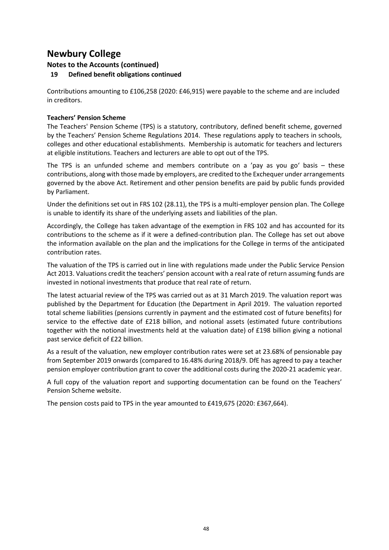## Notes to the Accounts (continued)

## 19 Defined benefit obligations continued

Contributions amounting to £106,258 (2020: £46,915) were payable to the scheme and are included in creditors.

#### Teachers' Pension Scheme

The Teachers' Pension Scheme (TPS) is a statutory, contributory, defined benefit scheme, governed by the Teachers' Pension Scheme Regulations 2014. These regulations apply to teachers in schools, colleges and other educational establishments. Membership is automatic for teachers and lecturers at eligible institutions. Teachers and lecturers are able to opt out of the TPS.

The TPS is an unfunded scheme and members contribute on a 'pay as you go' basis – these contributions, along with those made by employers, are credited to the Exchequer under arrangements governed by the above Act. Retirement and other pension benefits are paid by public funds provided by Parliament.

Under the definitions set out in FRS 102 (28.11), the TPS is a multi-employer pension plan. The College is unable to identify its share of the underlying assets and liabilities of the plan.

Accordingly, the College has taken advantage of the exemption in FRS 102 and has accounted for its contributions to the scheme as if it were a defined-contribution plan. The College has set out above the information available on the plan and the implications for the College in terms of the anticipated contribution rates.

The valuation of the TPS is carried out in line with regulations made under the Public Service Pension Act 2013. Valuations credit the teachers' pension account with a real rate of return assuming funds are invested in notional investments that produce that real rate of return.

The latest actuarial review of the TPS was carried out as at 31 March 2019. The valuation report was published by the Department for Education (the Department in April 2019. The valuation reported total scheme liabilities (pensions currently in payment and the estimated cost of future benefits) for service to the effective date of £218 billion, and notional assets (estimated future contributions together with the notional investments held at the valuation date) of £198 billion giving a notional past service deficit of £22 billion.

As a result of the valuation, new employer contribution rates were set at 23.68% of pensionable pay from September 2019 onwards (compared to 16.48% during 2018/9. DfE has agreed to pay a teacher pension employer contribution grant to cover the additional costs during the 2020-21 academic year.

A full copy of the valuation report and supporting documentation can be found on the Teachers' Pension Scheme website.

The pension costs paid to TPS in the year amounted to £419,675 (2020: £367,664).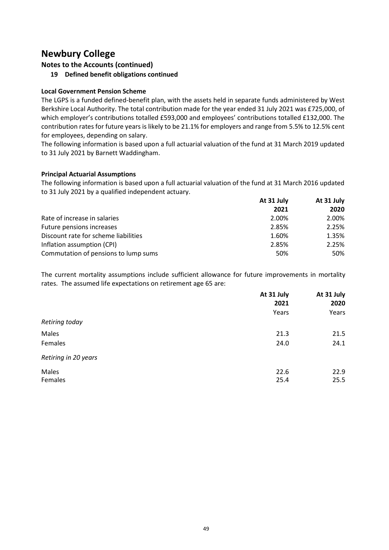Notes to the Accounts (continued)

19 Defined benefit obligations continued

## Local Government Pension Scheme

The LGPS is a funded defined-benefit plan, with the assets held in separate funds administered by West Berkshire Local Authority. The total contribution made for the year ended 31 July 2021 was £725,000, of which employer's contributions totalled £593,000 and employees' contributions totalled £132,000. The contribution rates for future years is likely to be 21.1% for employers and range from 5.5% to 12.5% cent for employees, depending on salary.

The following information is based upon a full actuarial valuation of the fund at 31 March 2019 updated to 31 July 2021 by Barnett Waddingham.

#### Principal Actuarial Assumptions

|                                      | At 31 July | At 31 July |  |
|--------------------------------------|------------|------------|--|
|                                      | 2021       | 2020       |  |
| Rate of increase in salaries         | 2.00%      | 2.00%      |  |
| Future pensions increases            | 2.85%      | 2.25%      |  |
| Discount rate for scheme liabilities | 1.60%      | 1.35%      |  |
| Inflation assumption (CPI)           | 2.85%      | 2.25%      |  |
| Commutation of pensions to lump sums | 50%        | 50%        |  |
|                                      |            |            |  |

| to 31 July 2021 by Barnett Waddingham.                                                                  |            |            |
|---------------------------------------------------------------------------------------------------------|------------|------------|
| <b>Principal Actuarial Assumptions</b>                                                                  |            |            |
| The following information is based upon a full actuarial valuation of the fund at 31 March 2016 updated |            |            |
| to 31 July 2021 by a qualified independent actuary.                                                     |            |            |
|                                                                                                         | At 31 July | At 31 July |
|                                                                                                         | 2021       | 2020       |
| Rate of increase in salaries                                                                            | 2.00%      | 2.00%      |
| Future pensions increases                                                                               | 2.85%      | 2.25%      |
| Discount rate for scheme liabilities                                                                    | 1.60%      | 1.35%      |
| Inflation assumption (CPI)                                                                              | 2.85%      | 2.25%      |
| Commutation of pensions to lump sums                                                                    | 50%        | 50%        |
| The current mortality assumptions include sufficient allowance for future improvements in mortality     |            |            |
| rates. The assumed life expectations on retirement age 65 are:                                          |            |            |
|                                                                                                         | At 31 July | At 31 July |
|                                                                                                         | 2021       | 2020       |
| Retiring today                                                                                          | Years      | Years      |
| Males                                                                                                   | 21.3       | 21.5       |
|                                                                                                         | 24.0       | 24.1       |
| Females                                                                                                 |            |            |
| Retiring in 20 years                                                                                    |            |            |
| Males                                                                                                   | 22.6       | 22.9       |
| Females                                                                                                 | 25.4       | 25.5       |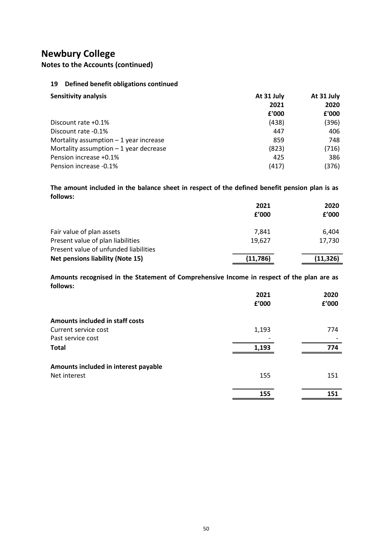Notes to the Accounts (continued)

| ewbury College                                                                                        |                        |                                |
|-------------------------------------------------------------------------------------------------------|------------------------|--------------------------------|
| otes to the Accounts (continued)                                                                      |                        |                                |
|                                                                                                       |                        |                                |
| Defined benefit obligations continued<br>19                                                           |                        |                                |
| <b>Sensitivity analysis</b>                                                                           | At 31 July             | At 31 July                     |
|                                                                                                       | 2021                   | 2020                           |
|                                                                                                       | £'000                  | £'000                          |
| Discount rate +0.1%                                                                                   | (438)                  | (396)                          |
| Discount rate -0.1%                                                                                   | 447                    | 406                            |
| Mortality assumption $-1$ year increase                                                               | 859                    | 748                            |
| Mortality assumption $-1$ year decrease                                                               | (823)                  | (716)                          |
| Pension increase +0.1%                                                                                | 425                    | 386                            |
| Pension increase -0.1%                                                                                | (417)                  | (376)                          |
| The amount included in the balance sheet in respect of the defined benefit pension plan is as         |                        |                                |
| follows:                                                                                              |                        |                                |
|                                                                                                       | 2021                   | 2020                           |
|                                                                                                       | f'000                  | $\boldsymbol{\mathsf{f}}'$ 000 |
| Fair value of plan assets                                                                             | 7,841                  | 6,404                          |
| Present value of plan liabilities                                                                     | 19,627                 | 17,730                         |
| Present value of unfunded liabilities                                                                 |                        |                                |
| <b>Net pensions liability (Note 15)</b>                                                               | (11, 786)              | (11, 326)                      |
|                                                                                                       |                        |                                |
| Amounts recognised in the Statement of Comprehensive Income in respect of the plan are as<br>follows: |                        |                                |
|                                                                                                       | 2021                   | 2020                           |
|                                                                                                       | ${\bf f}^{\prime}$ 000 | £'000                          |

|                                         | 2021     | 2020      |  |
|-----------------------------------------|----------|-----------|--|
|                                         | f'000    | £'000     |  |
| Fair value of plan assets               | 7,841    | 6,404     |  |
| Present value of plan liabilities       | 19,627   | 17,730    |  |
| Present value of unfunded liabilities   |          |           |  |
| <b>Net pensions liability (Note 15)</b> | (11,786) | (11, 326) |  |

| Pension increase -0.1%                                                                                    | (41/          | (3/6)         |
|-----------------------------------------------------------------------------------------------------------|---------------|---------------|
| The amount included in the balance sheet in respect of the defined benefit pension plan is as<br>follows: |               |               |
|                                                                                                           | 2021          | 2020          |
|                                                                                                           | £'000         | £'000         |
| Fair value of plan assets                                                                                 | 7,841         | 6,404         |
| Present value of plan liabilities<br>Present value of unfunded liabilities                                | 19,627        | 17,730        |
| <b>Net pensions liability (Note 15)</b>                                                                   | (11, 786)     | (11, 326)     |
|                                                                                                           |               |               |
| Amounts recognised in the Statement of Comprehensive Income in respect of the plan are as<br>follows:     |               |               |
|                                                                                                           | 2021<br>£'000 | 2020<br>£'000 |
| Amounts included in staff costs                                                                           |               |               |
| Current service cost                                                                                      | 1,193         | 774           |
| Past service cost<br><b>Total</b>                                                                         | 1,193         | 774           |
|                                                                                                           |               |               |
| Amounts included in interest payable<br>Net interest                                                      | 155           | 151           |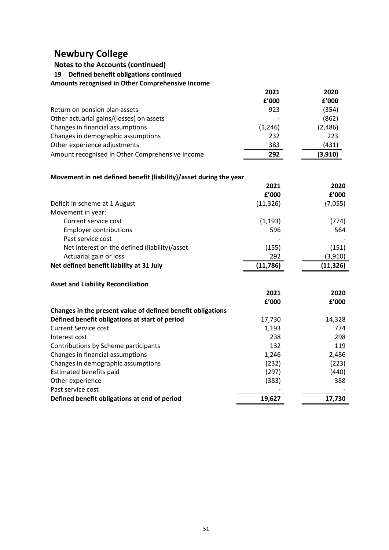# Notes to the Accounts (continued)

| <b>Newbury College</b>                                            |          |            |
|-------------------------------------------------------------------|----------|------------|
| <b>Notes to the Accounts (continued)</b>                          |          |            |
| Defined benefit obligations continued<br>19                       |          |            |
| Amounts recognised in Other Comprehensive Income                  |          |            |
|                                                                   | 2021     | 2020       |
|                                                                   | £'000    | f'000      |
| Return on pension plan assets                                     | 923      | (354)      |
| Other actuarial gains/(losses) on assets                          |          | (862)      |
| Changes in financial assumptions                                  | (1, 246) | (2,486)    |
| Changes in demographic assumptions                                | 232      | 223        |
| Other experience adjustments                                      | 383      | (431)      |
| Amount recognised in Other Comprehensive Income                   | 292      | (3,910)    |
| Movement in net defined benefit (liability)/asset during the year |          |            |
|                                                                   | 2021     | 2020       |
|                                                                   | f'000    | £'000      |
| Doficit in cohomo at 1 August                                     | 11122C   | $17$ $000$ |

## Movement in net defined benefit (liability)/asset during the year

| Amounts recognised in Other Comprehensive Income                  |           |           |
|-------------------------------------------------------------------|-----------|-----------|
|                                                                   | 2021      | 2020      |
|                                                                   | f'000     | £'000     |
| Return on pension plan assets                                     | 923       | (354)     |
| Other actuarial gains/(losses) on assets                          |           | (862)     |
| Changes in financial assumptions                                  | (1, 246)  | (2,486)   |
| Changes in demographic assumptions                                | 232       | 223       |
| Other experience adjustments                                      | 383       | (431)     |
| Amount recognised in Other Comprehensive Income                   | 292       | (3,910)   |
| Movement in net defined benefit (liability)/asset during the year |           |           |
|                                                                   | 2021      | 2020      |
|                                                                   | £'000     | f'000     |
| Deficit in scheme at 1 August                                     | (11, 326) | (7,055)   |
| Movement in year:                                                 |           |           |
| Current service cost                                              | (1, 193)  | (774)     |
| <b>Employer contributions</b>                                     | 596       | 564       |
| Past service cost                                                 |           |           |
| Net interest on the defined (liability)/asset                     | (155)     | (151)     |
| Actuarial gain or loss                                            | 292       | (3,910)   |
| Net defined benefit liability at 31 July                          | (11, 786) | (11, 326) |
|                                                                   |           |           |
| <b>Asset and Liability Reconciliation</b>                         |           |           |
|                                                                   | 2021      | 2020      |
|                                                                   | £'000     | f'000     |
| Changes in the present value of defined benefit obligations       |           |           |
| Defined benefit obligations at start of period                    | 17,730    | 14,328    |
| <b>Current Service cost</b>                                       | 1,193     | 774       |
| Interest cost                                                     | 238       | 298       |
| Contributions by Scheme participants                              | 132       | 119       |
| Changes in financial assumptions                                  | 1,246     | 2,486     |
| Changes in demographic assumptions                                | (232)     | (223)     |
| Estimated benefits paid                                           | (297)     | (440)     |
| Other experience                                                  | (383)     | 388       |
| Past service cost                                                 |           |           |
| Defined benefit obligations at end of period                      | 19,627    | 17,730    |